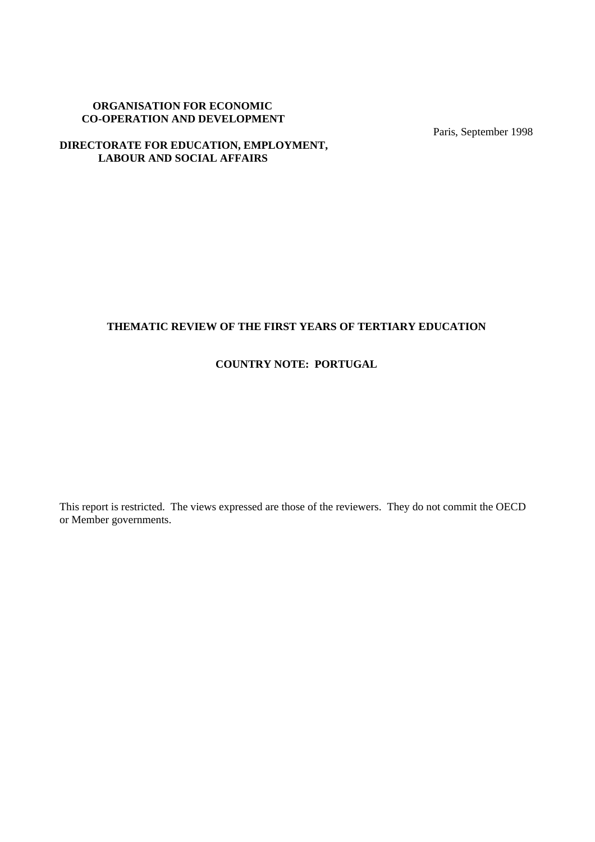## **ORGANISATION FOR ECONOMIC CO-OPERATION AND DEVELOPMENT**

Paris, September 1998

## **DIRECTORATE FOR EDUCATION, EMPLOYMENT, LABOUR AND SOCIAL AFFAIRS**

# **THEMATIC REVIEW OF THE FIRST YEARS OF TERTIARY EDUCATION**

## **COUNTRY NOTE: PORTUGAL**

This report is restricted. The views expressed are those of the reviewers. They do not commit the OECD or Member governments.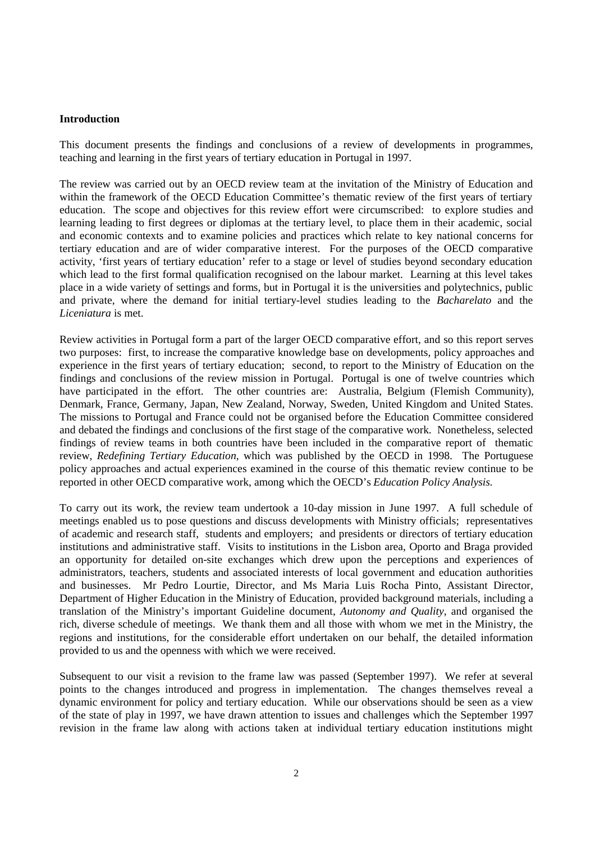#### **Introduction**

This document presents the findings and conclusions of a review of developments in programmes, teaching and learning in the first years of tertiary education in Portugal in 1997.

The review was carried out by an OECD review team at the invitation of the Ministry of Education and within the framework of the OECD Education Committee's thematic review of the first years of tertiary education. The scope and objectives for this review effort were circumscribed: to explore studies and learning leading to first degrees or diplomas at the tertiary level, to place them in their academic, social and economic contexts and to examine policies and practices which relate to key national concerns for tertiary education and are of wider comparative interest. For the purposes of the OECD comparative activity, 'first years of tertiary education' refer to a stage or level of studies beyond secondary education which lead to the first formal qualification recognised on the labour market. Learning at this level takes place in a wide variety of settings and forms, but in Portugal it is the universities and polytechnics, public and private, where the demand for initial tertiary-level studies leading to the *Bacharelato* and the *Liceniatura* is met.

Review activities in Portugal form a part of the larger OECD comparative effort, and so this report serves two purposes: first, to increase the comparative knowledge base on developments, policy approaches and experience in the first years of tertiary education; second, to report to the Ministry of Education on the findings and conclusions of the review mission in Portugal. Portugal is one of twelve countries which have participated in the effort. The other countries are: Australia, Belgium (Flemish Community), Denmark, France, Germany, Japan, New Zealand, Norway, Sweden, United Kingdom and United States. The missions to Portugal and France could not be organised before the Education Committee considered and debated the findings and conclusions of the first stage of the comparative work. Nonetheless, selected findings of review teams in both countries have been included in the comparative report of thematic review, *Redefining Tertiary Education*, which was published by the OECD in 1998. The Portuguese policy approaches and actual experiences examined in the course of this thematic review continue to be reported in other OECD comparative work, among which the OECD's *Education Policy Analysis.*

To carry out its work, the review team undertook a 10-day mission in June 1997. A full schedule of meetings enabled us to pose questions and discuss developments with Ministry officials; representatives of academic and research staff, students and employers; and presidents or directors of tertiary education institutions and administrative staff. Visits to institutions in the Lisbon area, Oporto and Braga provided an opportunity for detailed on-site exchanges which drew upon the perceptions and experiences of administrators, teachers, students and associated interests of local government and education authorities and businesses. Mr Pedro Lourtie, Director, and Ms Maria Luis Rocha Pinto, Assistant Director, Department of Higher Education in the Ministry of Education, provided background materials, including a translation of the Ministry's important Guideline document, *Autonomy and Quality*, and organised the rich, diverse schedule of meetings. We thank them and all those with whom we met in the Ministry, the regions and institutions, for the considerable effort undertaken on our behalf, the detailed information provided to us and the openness with which we were received.

Subsequent to our visit a revision to the frame law was passed (September 1997). We refer at several points to the changes introduced and progress in implementation. The changes themselves reveal a dynamic environment for policy and tertiary education. While our observations should be seen as a view of the state of play in 1997, we have drawn attention to issues and challenges which the September 1997 revision in the frame law along with actions taken at individual tertiary education institutions might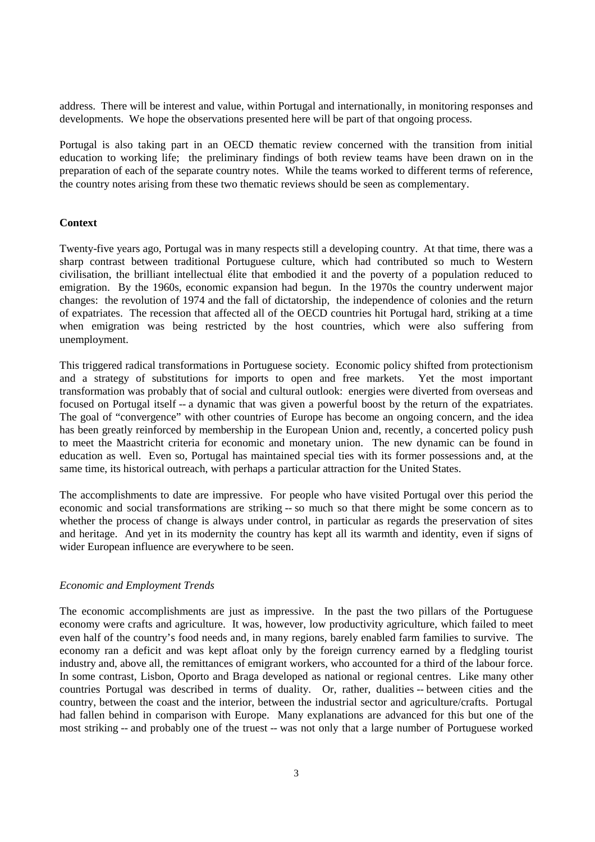address. There will be interest and value, within Portugal and internationally, in monitoring responses and developments. We hope the observations presented here will be part of that ongoing process.

Portugal is also taking part in an OECD thematic review concerned with the transition from initial education to working life; the preliminary findings of both review teams have been drawn on in the preparation of each of the separate country notes. While the teams worked to different terms of reference, the country notes arising from these two thematic reviews should be seen as complementary.

#### **Context**

Twenty-five years ago, Portugal was in many respects still a developing country. At that time, there was a sharp contrast between traditional Portuguese culture, which had contributed so much to Western civilisation, the brilliant intellectual élite that embodied it and the poverty of a population reduced to emigration. By the 1960s, economic expansion had begun. In the 1970s the country underwent major changes: the revolution of 1974 and the fall of dictatorship, the independence of colonies and the return of expatriates. The recession that affected all of the OECD countries hit Portugal hard, striking at a time when emigration was being restricted by the host countries, which were also suffering from unemployment.

This triggered radical transformations in Portuguese society. Economic policy shifted from protectionism and a strategy of substitutions for imports to open and free markets. Yet the most important transformation was probably that of social and cultural outlook: energies were diverted from overseas and focused on Portugal itself -- a dynamic that was given a powerful boost by the return of the expatriates. The goal of "convergence" with other countries of Europe has become an ongoing concern, and the idea has been greatly reinforced by membership in the European Union and, recently, a concerted policy push to meet the Maastricht criteria for economic and monetary union. The new dynamic can be found in education as well. Even so, Portugal has maintained special ties with its former possessions and, at the same time, its historical outreach, with perhaps a particular attraction for the United States.

The accomplishments to date are impressive. For people who have visited Portugal over this period the economic and social transformations are striking -- so much so that there might be some concern as to whether the process of change is always under control, in particular as regards the preservation of sites and heritage. And yet in its modernity the country has kept all its warmth and identity, even if signs of wider European influence are everywhere to be seen.

#### *Economic and Employment Trends*

The economic accomplishments are just as impressive. In the past the two pillars of the Portuguese economy were crafts and agriculture. It was, however, low productivity agriculture, which failed to meet even half of the country's food needs and, in many regions, barely enabled farm families to survive. The economy ran a deficit and was kept afloat only by the foreign currency earned by a fledgling tourist industry and, above all, the remittances of emigrant workers, who accounted for a third of the labour force. In some contrast, Lisbon, Oporto and Braga developed as national or regional centres. Like many other countries Portugal was described in terms of duality. Or, rather, dualities -- between cities and the country, between the coast and the interior, between the industrial sector and agriculture/crafts. Portugal had fallen behind in comparison with Europe. Many explanations are advanced for this but one of the most striking -- and probably one of the truest -- was not only that a large number of Portuguese worked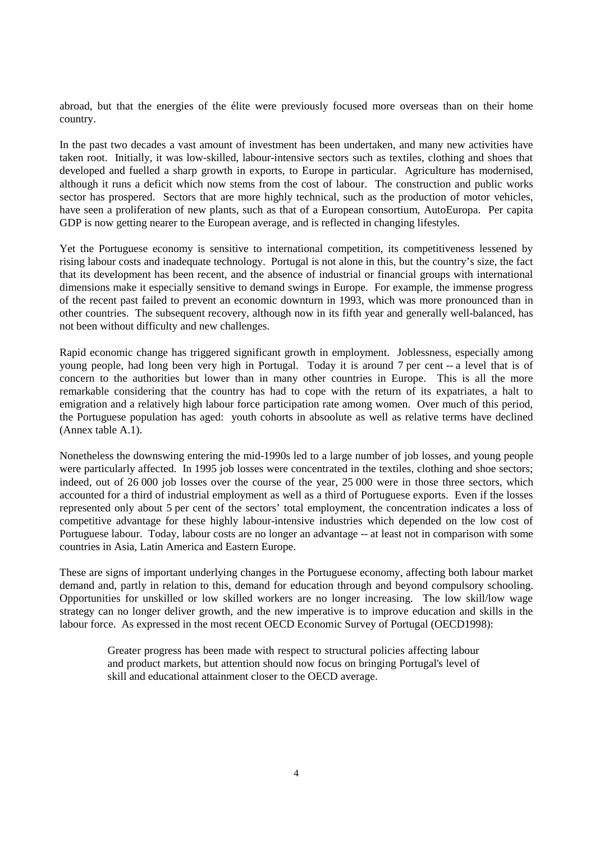abroad, but that the energies of the élite were previously focused more overseas than on their home country.

In the past two decades a vast amount of investment has been undertaken, and many new activities have taken root. Initially, it was low-skilled, labour-intensive sectors such as textiles, clothing and shoes that developed and fuelled a sharp growth in exports, to Europe in particular. Agriculture has modernised, although it runs a deficit which now stems from the cost of labour. The construction and public works sector has prospered. Sectors that are more highly technical, such as the production of motor vehicles, have seen a proliferation of new plants, such as that of a European consortium, AutoEuropa. Per capita GDP is now getting nearer to the European average, and is reflected in changing lifestyles.

Yet the Portuguese economy is sensitive to international competition, its competitiveness lessened by rising labour costs and inadequate technology. Portugal is not alone in this, but the country's size, the fact that its development has been recent, and the absence of industrial or financial groups with international dimensions make it especially sensitive to demand swings in Europe. For example, the immense progress of the recent past failed to prevent an economic downturn in 1993, which was more pronounced than in other countries. The subsequent recovery, although now in its fifth year and generally well-balanced, has not been without difficulty and new challenges.

Rapid economic change has triggered significant growth in employment. Joblessness, especially among young people, had long been very high in Portugal. Today it is around 7 per cent -- a level that is of concern to the authorities but lower than in many other countries in Europe. This is all the more remarkable considering that the country has had to cope with the return of its expatriates, a halt to emigration and a relatively high labour force participation rate among women. Over much of this period, the Portuguese population has aged: youth cohorts in absoolute as well as relative terms have declined (Annex table A.1).

Nonetheless the downswing entering the mid-1990s led to a large number of job losses, and young people were particularly affected. In 1995 job losses were concentrated in the textiles, clothing and shoe sectors; indeed, out of 26 000 job losses over the course of the year, 25 000 were in those three sectors, which accounted for a third of industrial employment as well as a third of Portuguese exports. Even if the losses represented only about 5 per cent of the sectors' total employment, the concentration indicates a loss of competitive advantage for these highly labour-intensive industries which depended on the low cost of Portuguese labour. Today, labour costs are no longer an advantage -- at least not in comparison with some countries in Asia, Latin America and Eastern Europe.

These are signs of important underlying changes in the Portuguese economy, affecting both labour market demand and, partly in relation to this, demand for education through and beyond compulsory schooling. Opportunities for unskilled or low skilled workers are no longer increasing. The low skill/low wage strategy can no longer deliver growth, and the new imperative is to improve education and skills in the labour force. As expressed in the most recent OECD Economic Survey of Portugal (OECD1998):

Greater progress has been made with respect to structural policies affecting labour and product markets, but attention should now focus on bringing Portugal's level of skill and educational attainment closer to the OECD average.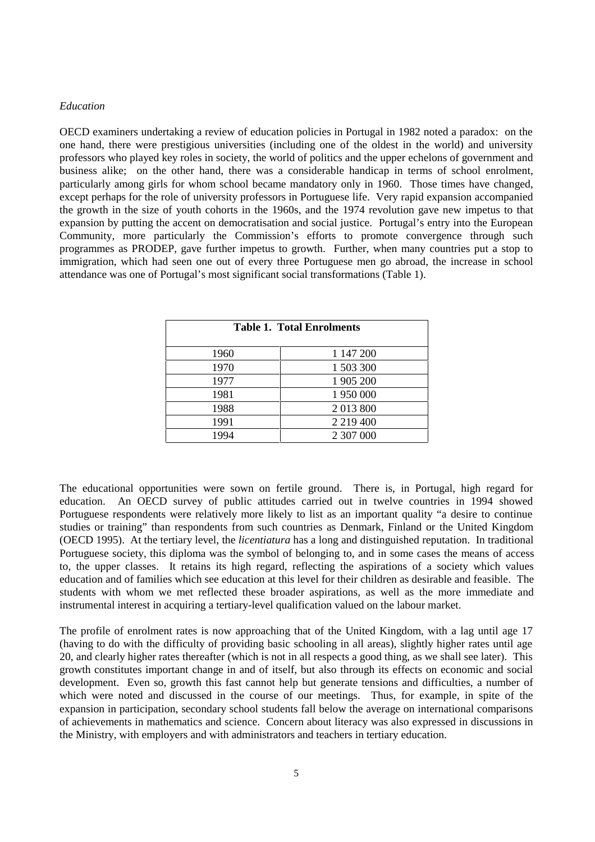#### *Education*

OECD examiners undertaking a review of education policies in Portugal in 1982 noted a paradox: on the one hand, there were prestigious universities (including one of the oldest in the world) and university professors who played key roles in society, the world of politics and the upper echelons of government and business alike; on the other hand, there was a considerable handicap in terms of school enrolment, particularly among girls for whom school became mandatory only in 1960. Those times have changed, except perhaps for the role of university professors in Portuguese life. Very rapid expansion accompanied the growth in the size of youth cohorts in the 1960s, and the 1974 revolution gave new impetus to that expansion by putting the accent on democratisation and social justice. Portugal's entry into the European Community, more particularly the Commission's efforts to promote convergence through such programmes as PRODEP, gave further impetus to growth. Further, when many countries put a stop to immigration, which had seen one out of every three Portuguese men go abroad, the increase in school attendance was one of Portugal's most significant social transformations (Table 1).

| <b>Table 1. Total Enrolments</b> |               |  |  |
|----------------------------------|---------------|--|--|
| 1960                             | 1 147 200     |  |  |
| 1970                             | 1 503 300     |  |  |
| 1977                             | 1 905 200     |  |  |
| 1981                             | 1 950 000     |  |  |
| 1988                             | 2013800       |  |  |
| 1991                             | 2 2 1 9 4 0 0 |  |  |
| 1994                             | 2 307 000     |  |  |

The educational opportunities were sown on fertile ground. There is, in Portugal, high regard for education. An OECD survey of public attitudes carried out in twelve countries in 1994 showed Portuguese respondents were relatively more likely to list as an important quality "a desire to continue studies or training" than respondents from such countries as Denmark, Finland or the United Kingdom (OECD 1995). At the tertiary level, the *licentiatura* has a long and distinguished reputation. In traditional Portuguese society, this diploma was the symbol of belonging to, and in some cases the means of access to, the upper classes. It retains its high regard, reflecting the aspirations of a society which values education and of families which see education at this level for their children as desirable and feasible. The students with whom we met reflected these broader aspirations, as well as the more immediate and instrumental interest in acquiring a tertiary-level qualification valued on the labour market.

The profile of enrolment rates is now approaching that of the United Kingdom, with a lag until age 17 (having to do with the difficulty of providing basic schooling in all areas), slightly higher rates until age 20, and clearly higher rates thereafter (which is not in all respects a good thing, as we shall see later). This growth constitutes important change in and of itself, but also through its effects on economic and social development. Even so, growth this fast cannot help but generate tensions and difficulties, a number of which were noted and discussed in the course of our meetings. Thus, for example, in spite of the expansion in participation, secondary school students fall below the average on international comparisons of achievements in mathematics and science. Concern about literacy was also expressed in discussions in the Ministry, with employers and with administrators and teachers in tertiary education.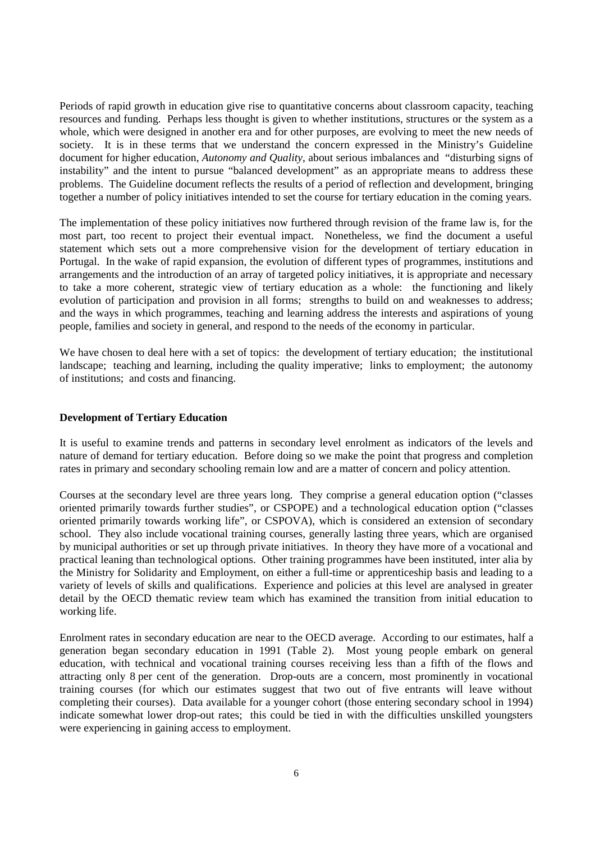Periods of rapid growth in education give rise to quantitative concerns about classroom capacity, teaching resources and funding. Perhaps less thought is given to whether institutions, structures or the system as a whole, which were designed in another era and for other purposes, are evolving to meet the new needs of society. It is in these terms that we understand the concern expressed in the Ministry's Guideline document for higher education, *Autonomy and Quality*, about serious imbalances and "disturbing signs of instability" and the intent to pursue "balanced development" as an appropriate means to address these problems. The Guideline document reflects the results of a period of reflection and development, bringing together a number of policy initiatives intended to set the course for tertiary education in the coming years.

The implementation of these policy initiatives now furthered through revision of the frame law is, for the most part, too recent to project their eventual impact. Nonetheless, we find the document a useful statement which sets out a more comprehensive vision for the development of tertiary education in Portugal. In the wake of rapid expansion, the evolution of different types of programmes, institutions and arrangements and the introduction of an array of targeted policy initiatives, it is appropriate and necessary to take a more coherent, strategic view of tertiary education as a whole: the functioning and likely evolution of participation and provision in all forms; strengths to build on and weaknesses to address; and the ways in which programmes, teaching and learning address the interests and aspirations of young people, families and society in general, and respond to the needs of the economy in particular.

We have chosen to deal here with a set of topics: the development of tertiary education; the institutional landscape; teaching and learning, including the quality imperative; links to employment; the autonomy of institutions; and costs and financing.

#### **Development of Tertiary Education**

It is useful to examine trends and patterns in secondary level enrolment as indicators of the levels and nature of demand for tertiary education. Before doing so we make the point that progress and completion rates in primary and secondary schooling remain low and are a matter of concern and policy attention.

Courses at the secondary level are three years long. They comprise a general education option ("classes oriented primarily towards further studies", or CSPOPE) and a technological education option ("classes oriented primarily towards working life", or CSPOVA), which is considered an extension of secondary school. They also include vocational training courses, generally lasting three years, which are organised by municipal authorities or set up through private initiatives. In theory they have more of a vocational and practical leaning than technological options. Other training programmes have been instituted, inter alia by the Ministry for Solidarity and Employment, on either a full-time or apprenticeship basis and leading to a variety of levels of skills and qualifications. Experience and policies at this level are analysed in greater detail by the OECD thematic review team which has examined the transition from initial education to working life.

Enrolment rates in secondary education are near to the OECD average. According to our estimates, half a generation began secondary education in 1991 (Table 2). Most young people embark on general education, with technical and vocational training courses receiving less than a fifth of the flows and attracting only 8 per cent of the generation. Drop-outs are a concern, most prominently in vocational training courses (for which our estimates suggest that two out of five entrants will leave without completing their courses). Data available for a younger cohort (those entering secondary school in 1994) indicate somewhat lower drop-out rates; this could be tied in with the difficulties unskilled youngsters were experiencing in gaining access to employment.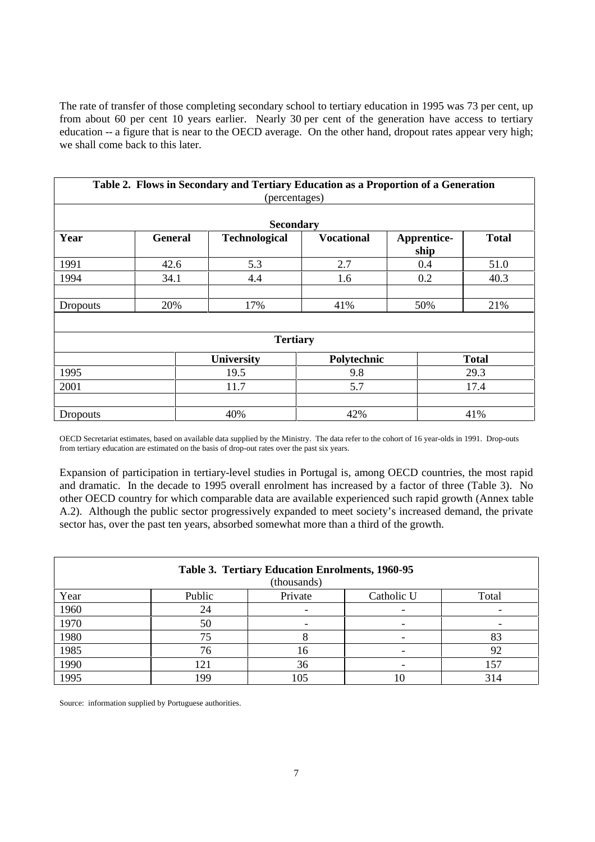The rate of transfer of those completing secondary school to tertiary education in 1995 was 73 per cent, up from about 60 per cent 10 years earlier. Nearly 30 per cent of the generation have access to tertiary education -- a figure that is near to the OECD average. On the other hand, dropout rates appear very high; we shall come back to this later.

| Table 2. Flows in Secondary and Tertiary Education as a Proportion of a Generation<br>(percentages) |                   |                      |                   |                     |              |  |
|-----------------------------------------------------------------------------------------------------|-------------------|----------------------|-------------------|---------------------|--------------|--|
| <b>Secondary</b>                                                                                    |                   |                      |                   |                     |              |  |
| Year                                                                                                | <b>General</b>    | <b>Technological</b> | <b>Vocational</b> | Apprentice-<br>ship | <b>Total</b> |  |
| 1991                                                                                                | 42.6              | 5.3                  | 2.7               | 0.4                 | 51.0         |  |
| 1994                                                                                                | 34.1              | 4.4                  | 1.6               | 0.2                 | 40.3         |  |
|                                                                                                     |                   |                      |                   |                     |              |  |
| Dropouts                                                                                            | 20%               | 17%                  | 41%               | 50%                 | 21%          |  |
|                                                                                                     |                   |                      |                   |                     |              |  |
| <b>Tertiary</b>                                                                                     |                   |                      |                   |                     |              |  |
|                                                                                                     | <b>University</b> |                      | Polytechnic       |                     | <b>Total</b> |  |
| 1995                                                                                                | 19.5              |                      | 9.8               |                     | 29.3         |  |
| 2001                                                                                                | 11.7              |                      | 5.7               |                     | 17.4         |  |
|                                                                                                     |                   |                      |                   |                     |              |  |
| <b>Dropouts</b>                                                                                     |                   | 40%                  | 42%               |                     | 41%          |  |

OECD Secretariat estimates, based on available data supplied by the Ministry. The data refer to the cohort of 16 year-olds in 1991. Drop-outs from tertiary education are estimated on the basis of drop-out rates over the past six years.

Expansion of participation in tertiary-level studies in Portugal is, among OECD countries, the most rapid and dramatic. In the decade to 1995 overall enrolment has increased by a factor of three (Table 3). No other OECD country for which comparable data are available experienced such rapid growth (Annex table A.2). Although the public sector progressively expanded to meet society's increased demand, the private sector has, over the past ten years, absorbed somewhat more than a third of the growth.

| <b>Table 3. Tertiary Education Enrolments, 1960-95</b> |        |         |            |       |  |
|--------------------------------------------------------|--------|---------|------------|-------|--|
| (thousands)                                            |        |         |            |       |  |
| Year                                                   | Public | Private | Catholic U | Total |  |
| 1960                                                   | 24     |         |            |       |  |
| 1970                                                   | 50     |         |            |       |  |
| 1980                                                   | 75     |         |            | 83    |  |
| 1985                                                   | 76     | 16      |            | 92    |  |
| 1990                                                   | 121    | 36      |            | 157   |  |
| 1995                                                   | 1 Q Q  | 105     |            | 314   |  |

Source: information supplied by Portuguese authorities.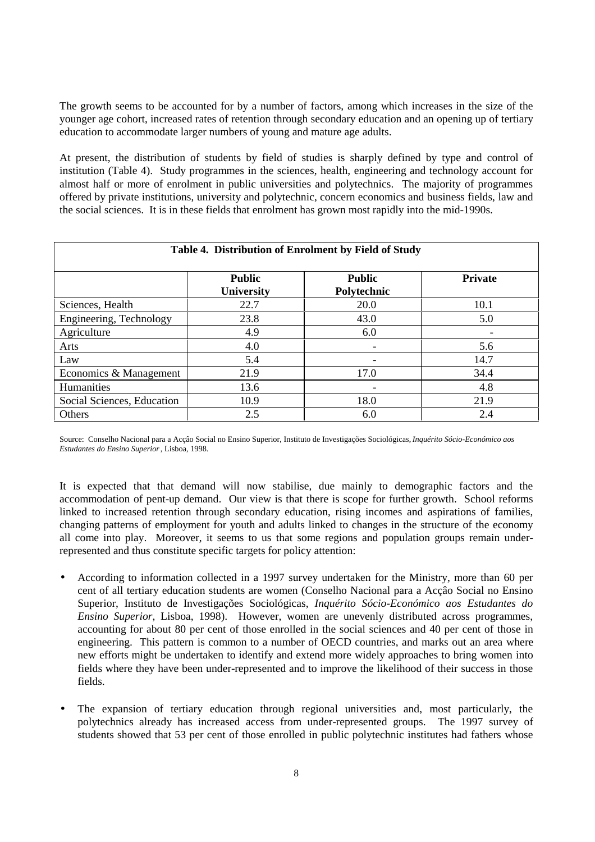The growth seems to be accounted for by a number of factors, among which increases in the size of the younger age cohort, increased rates of retention through secondary education and an opening up of tertiary education to accommodate larger numbers of young and mature age adults.

At present, the distribution of students by field of studies is sharply defined by type and control of institution (Table 4). Study programmes in the sciences, health, engineering and technology account for almost half or more of enrolment in public universities and polytechnics. The majority of programmes offered by private institutions, university and polytechnic, concern economics and business fields, law and the social sciences. It is in these fields that enrolment has grown most rapidly into the mid-1990s.

| Table 4. Distribution of Enrolment by Field of Study |                                    |                              |                |  |  |
|------------------------------------------------------|------------------------------------|------------------------------|----------------|--|--|
|                                                      | <b>Public</b><br><b>University</b> | <b>Public</b><br>Polytechnic | <b>Private</b> |  |  |
| Sciences, Health                                     | 22.7                               | <b>20.0</b>                  | 10.1           |  |  |
| Engineering, Technology                              | 23.8                               | 43.0                         | 5.0            |  |  |
| Agriculture                                          | 4.9                                | 6.0                          |                |  |  |
| Arts                                                 | 4.0                                | -                            | 5.6            |  |  |
| Law                                                  | 5.4                                | -                            | 14.7           |  |  |
| Economics & Management                               | 21.9                               | 17.0                         | 34.4           |  |  |
| Humanities                                           | 13.6                               | $\overline{\phantom{0}}$     | 4.8            |  |  |
| Social Sciences, Education                           | 10.9                               | 18.0                         | 21.9           |  |  |
| Others                                               | 2.5                                | 6.0                          | 2.4            |  |  |

Source: Conselho Nacional para a Acçâo Social no Ensino Superior, Instituto de Investigações Sociológicas, *Inquérito Sócio-Económico aos Estudantes do Ensino Superior*, Lisboa, 1998.

It is expected that that demand will now stabilise, due mainly to demographic factors and the accommodation of pent-up demand. Our view is that there is scope for further growth. School reforms linked to increased retention through secondary education, rising incomes and aspirations of families, changing patterns of employment for youth and adults linked to changes in the structure of the economy all come into play. Moreover, it seems to us that some regions and population groups remain underrepresented and thus constitute specific targets for policy attention:

- According to information collected in a 1997 survey undertaken for the Ministry, more than 60 per cent of all tertiary education students are women (Conselho Nacional para a Acçâo Social no Ensino Superior, Instituto de Investigações Sociológicas, *Inquérito Sócio-Económico aos Estudantes do Ensino Superior*, Lisboa, 1998). However, women are unevenly distributed across programmes, accounting for about 80 per cent of those enrolled in the social sciences and 40 per cent of those in engineering. This pattern is common to a number of OECD countries, and marks out an area where new efforts might be undertaken to identify and extend more widely approaches to bring women into fields where they have been under-represented and to improve the likelihood of their success in those fields.
- The expansion of tertiary education through regional universities and, most particularly, the polytechnics already has increased access from under-represented groups. The 1997 survey of students showed that 53 per cent of those enrolled in public polytechnic institutes had fathers whose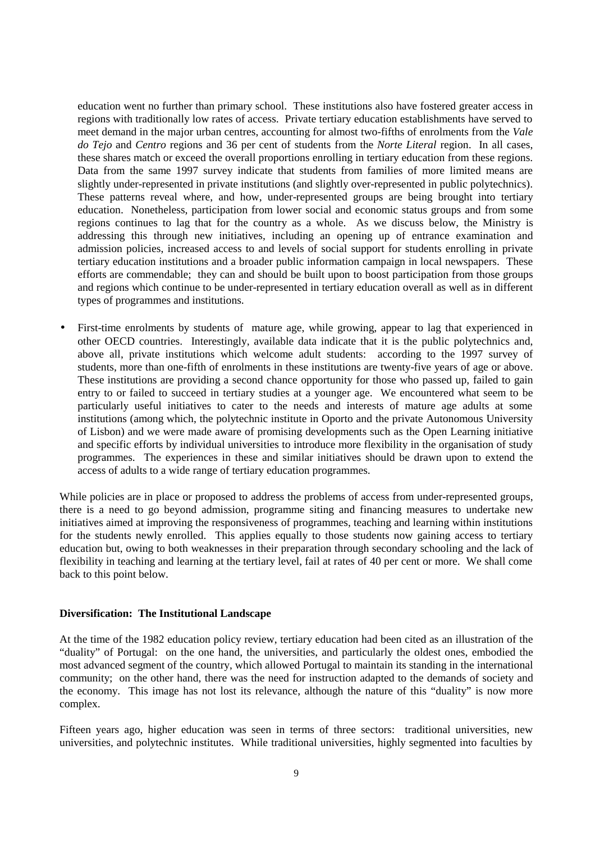education went no further than primary school. These institutions also have fostered greater access in regions with traditionally low rates of access. Private tertiary education establishments have served to meet demand in the major urban centres, accounting for almost two-fifths of enrolments from the *Vale do Tejo* and *Centro* regions and 36 per cent of students from the *Norte Literal* region. In all cases, these shares match or exceed the overall proportions enrolling in tertiary education from these regions. Data from the same 1997 survey indicate that students from families of more limited means are slightly under-represented in private institutions (and slightly over-represented in public polytechnics). These patterns reveal where, and how, under-represented groups are being brought into tertiary education. Nonetheless, participation from lower social and economic status groups and from some regions continues to lag that for the country as a whole. As we discuss below, the Ministry is addressing this through new initiatives, including an opening up of entrance examination and admission policies, increased access to and levels of social support for students enrolling in private tertiary education institutions and a broader public information campaign in local newspapers. These efforts are commendable; they can and should be built upon to boost participation from those groups and regions which continue to be under-represented in tertiary education overall as well as in different types of programmes and institutions.

• First-time enrolments by students of mature age, while growing, appear to lag that experienced in other OECD countries. Interestingly, available data indicate that it is the public polytechnics and, above all, private institutions which welcome adult students: according to the 1997 survey of students, more than one-fifth of enrolments in these institutions are twenty-five years of age or above. These institutions are providing a second chance opportunity for those who passed up, failed to gain entry to or failed to succeed in tertiary studies at a younger age. We encountered what seem to be particularly useful initiatives to cater to the needs and interests of mature age adults at some institutions (among which, the polytechnic institute in Oporto and the private Autonomous University of Lisbon) and we were made aware of promising developments such as the Open Learning initiative and specific efforts by individual universities to introduce more flexibility in the organisation of study programmes. The experiences in these and similar initiatives should be drawn upon to extend the access of adults to a wide range of tertiary education programmes.

While policies are in place or proposed to address the problems of access from under-represented groups, there is a need to go beyond admission, programme siting and financing measures to undertake new initiatives aimed at improving the responsiveness of programmes, teaching and learning within institutions for the students newly enrolled. This applies equally to those students now gaining access to tertiary education but, owing to both weaknesses in their preparation through secondary schooling and the lack of flexibility in teaching and learning at the tertiary level, fail at rates of 40 per cent or more. We shall come back to this point below.

#### **Diversification: The Institutional Landscape**

At the time of the 1982 education policy review, tertiary education had been cited as an illustration of the "duality" of Portugal: on the one hand, the universities, and particularly the oldest ones, embodied the most advanced segment of the country, which allowed Portugal to maintain its standing in the international community; on the other hand, there was the need for instruction adapted to the demands of society and the economy. This image has not lost its relevance, although the nature of this "duality" is now more complex.

Fifteen years ago, higher education was seen in terms of three sectors: traditional universities, new universities, and polytechnic institutes. While traditional universities, highly segmented into faculties by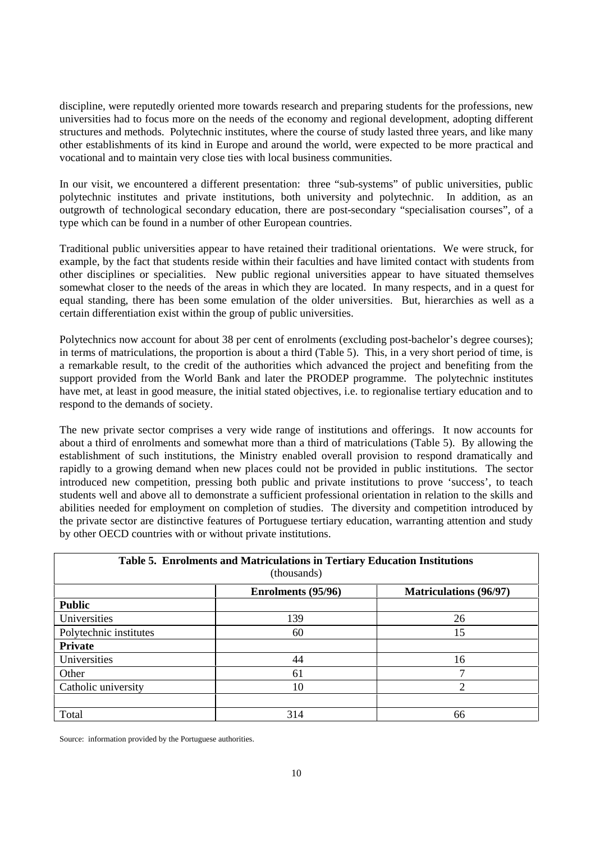discipline, were reputedly oriented more towards research and preparing students for the professions, new universities had to focus more on the needs of the economy and regional development, adopting different structures and methods. Polytechnic institutes, where the course of study lasted three years, and like many other establishments of its kind in Europe and around the world, were expected to be more practical and vocational and to maintain very close ties with local business communities.

In our visit, we encountered a different presentation: three "sub-systems" of public universities, public polytechnic institutes and private institutions, both university and polytechnic. In addition, as an outgrowth of technological secondary education, there are post-secondary "specialisation courses", of a type which can be found in a number of other European countries.

Traditional public universities appear to have retained their traditional orientations. We were struck, for example, by the fact that students reside within their faculties and have limited contact with students from other disciplines or specialities. New public regional universities appear to have situated themselves somewhat closer to the needs of the areas in which they are located. In many respects, and in a quest for equal standing, there has been some emulation of the older universities. But, hierarchies as well as a certain differentiation exist within the group of public universities.

Polytechnics now account for about 38 per cent of enrolments (excluding post-bachelor's degree courses); in terms of matriculations, the proportion is about a third (Table 5). This, in a very short period of time, is a remarkable result, to the credit of the authorities which advanced the project and benefiting from the support provided from the World Bank and later the PRODEP programme. The polytechnic institutes have met, at least in good measure, the initial stated objectives, i.e. to regionalise tertiary education and to respond to the demands of society.

The new private sector comprises a very wide range of institutions and offerings. It now accounts for about a third of enrolments and somewhat more than a third of matriculations (Table 5). By allowing the establishment of such institutions, the Ministry enabled overall provision to respond dramatically and rapidly to a growing demand when new places could not be provided in public institutions. The sector introduced new competition, pressing both public and private institutions to prove 'success', to teach students well and above all to demonstrate a sufficient professional orientation in relation to the skills and abilities needed for employment on completion of studies. The diversity and competition introduced by the private sector are distinctive features of Portuguese tertiary education, warranting attention and study by other OECD countries with or without private institutions.

| Table 5. Enrolments and Matriculations in Tertiary Education Institutions<br>(thousands) |     |    |  |  |  |  |
|------------------------------------------------------------------------------------------|-----|----|--|--|--|--|
| <b>Matriculations (96/97)</b><br>Enrolments (95/96)                                      |     |    |  |  |  |  |
| <b>Public</b>                                                                            |     |    |  |  |  |  |
| Universities                                                                             | 139 | 26 |  |  |  |  |
| Polytechnic institutes                                                                   | 60  | 15 |  |  |  |  |
| <b>Private</b>                                                                           |     |    |  |  |  |  |
| Universities                                                                             | 44  | 16 |  |  |  |  |
| Other                                                                                    | 61  |    |  |  |  |  |
| Catholic university                                                                      | 10  |    |  |  |  |  |
|                                                                                          |     |    |  |  |  |  |
| Total                                                                                    | 314 | 66 |  |  |  |  |

Source: information provided by the Portuguese authorities.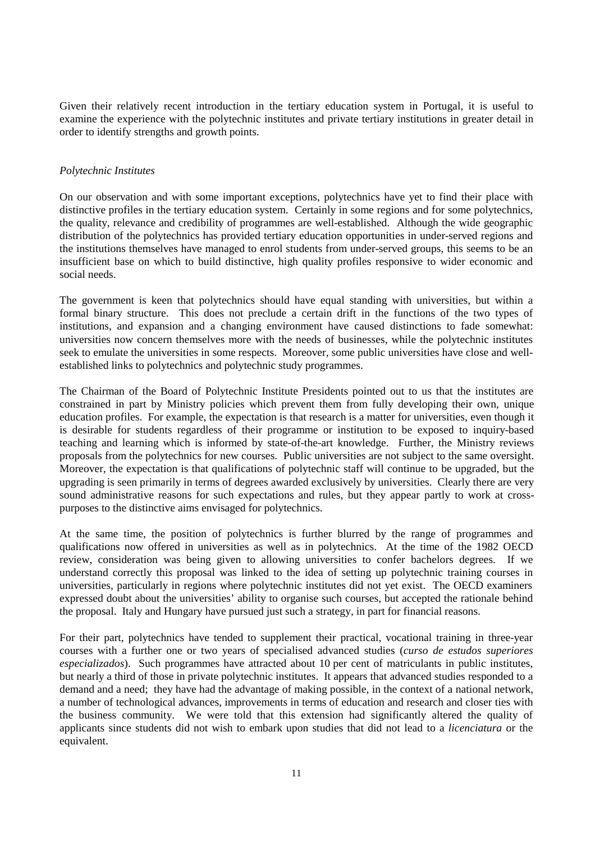Given their relatively recent introduction in the tertiary education system in Portugal, it is useful to examine the experience with the polytechnic institutes and private tertiary institutions in greater detail in order to identify strengths and growth points.

#### *Polytechnic Institutes*

On our observation and with some important exceptions, polytechnics have yet to find their place with distinctive profiles in the tertiary education system. Certainly in some regions and for some polytechnics, the quality, relevance and credibility of programmes are well-established. Although the wide geographic distribution of the polytechnics has provided tertiary education opportunities in under-served regions and the institutions themselves have managed to enrol students from under-served groups, this seems to be an insufficient base on which to build distinctive, high quality profiles responsive to wider economic and social needs.

The government is keen that polytechnics should have equal standing with universities, but within a formal binary structure. This does not preclude a certain drift in the functions of the two types of institutions, and expansion and a changing environment have caused distinctions to fade somewhat: universities now concern themselves more with the needs of businesses, while the polytechnic institutes seek to emulate the universities in some respects. Moreover, some public universities have close and wellestablished links to polytechnics and polytechnic study programmes.

The Chairman of the Board of Polytechnic Institute Presidents pointed out to us that the institutes are constrained in part by Ministry policies which prevent them from fully developing their own, unique education profiles. For example, the expectation is that research is a matter for universities, even though it is desirable for students regardless of their programme or institution to be exposed to inquiry-based teaching and learning which is informed by state-of-the-art knowledge. Further, the Ministry reviews proposals from the polytechnics for new courses. Public universities are not subject to the same oversight. Moreover, the expectation is that qualifications of polytechnic staff will continue to be upgraded, but the upgrading is seen primarily in terms of degrees awarded exclusively by universities. Clearly there are very sound administrative reasons for such expectations and rules, but they appear partly to work at crosspurposes to the distinctive aims envisaged for polytechnics.

At the same time, the position of polytechnics is further blurred by the range of programmes and qualifications now offered in universities as well as in polytechnics. At the time of the 1982 OECD review, consideration was being given to allowing universities to confer bachelors degrees. If we understand correctly this proposal was linked to the idea of setting up polytechnic training courses in universities, particularly in regions where polytechnic institutes did not yet exist. The OECD examiners expressed doubt about the universities' ability to organise such courses, but accepted the rationale behind the proposal. Italy and Hungary have pursued just such a strategy, in part for financial reasons.

For their part, polytechnics have tended to supplement their practical, vocational training in three-year courses with a further one or two years of specialised advanced studies (*curso de estudos superiores especializados*). Such programmes have attracted about 10 per cent of matriculants in public institutes, but nearly a third of those in private polytechnic institutes. It appears that advanced studies responded to a demand and a need; they have had the advantage of making possible, in the context of a national network, a number of technological advances, improvements in terms of education and research and closer ties with the business community. We were told that this extension had significantly altered the quality of applicants since students did not wish to embark upon studies that did not lead to a *licenciatura* or the equivalent.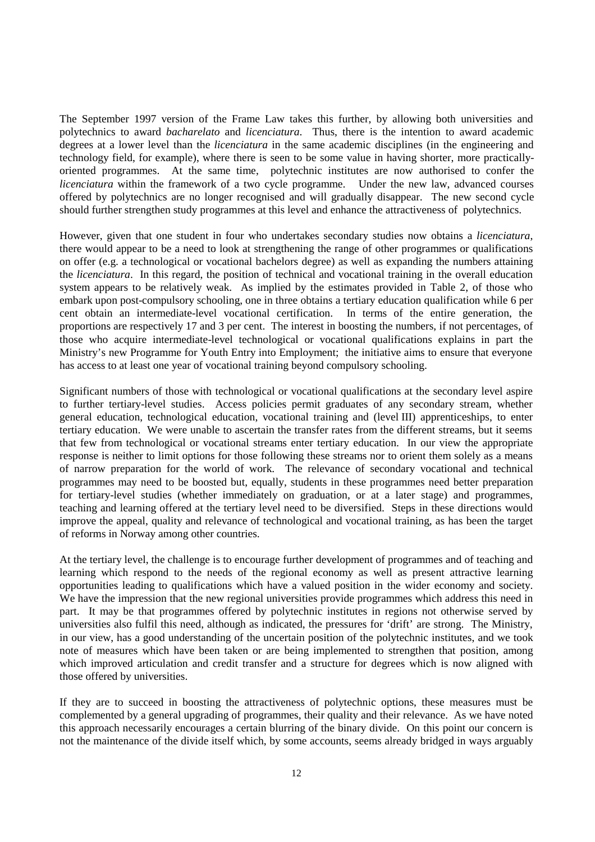The September 1997 version of the Frame Law takes this further, by allowing both universities and polytechnics to award *bacharelato* and *licenciatura*. Thus, there is the intention to award academic degrees at a lower level than the *licenciatura* in the same academic disciplines (in the engineering and technology field, for example), where there is seen to be some value in having shorter, more practicallyoriented programmes. At the same time, polytechnic institutes are now authorised to confer the *licenciatura* within the framework of a two cycle programme. Under the new law, advanced courses offered by polytechnics are no longer recognised and will gradually disappear. The new second cycle should further strengthen study programmes at this level and enhance the attractiveness of polytechnics.

However, given that one student in four who undertakes secondary studies now obtains a *licenciatura*, there would appear to be a need to look at strengthening the range of other programmes or qualifications on offer (e.g. a technological or vocational bachelors degree) as well as expanding the numbers attaining the *licenciatura*. In this regard, the position of technical and vocational training in the overall education system appears to be relatively weak. As implied by the estimates provided in Table 2, of those who embark upon post-compulsory schooling, one in three obtains a tertiary education qualification while 6 per cent obtain an intermediate-level vocational certification. In terms of the entire generation, the proportions are respectively 17 and 3 per cent. The interest in boosting the numbers, if not percentages, of those who acquire intermediate-level technological or vocational qualifications explains in part the Ministry's new Programme for Youth Entry into Employment; the initiative aims to ensure that everyone has access to at least one year of vocational training beyond compulsory schooling.

Significant numbers of those with technological or vocational qualifications at the secondary level aspire to further tertiary-level studies. Access policies permit graduates of any secondary stream, whether general education, technological education, vocational training and (level III) apprenticeships, to enter tertiary education. We were unable to ascertain the transfer rates from the different streams, but it seems that few from technological or vocational streams enter tertiary education. In our view the appropriate response is neither to limit options for those following these streams nor to orient them solely as a means of narrow preparation for the world of work. The relevance of secondary vocational and technical programmes may need to be boosted but, equally, students in these programmes need better preparation for tertiary-level studies (whether immediately on graduation, or at a later stage) and programmes, teaching and learning offered at the tertiary level need to be diversified. Steps in these directions would improve the appeal, quality and relevance of technological and vocational training, as has been the target of reforms in Norway among other countries.

At the tertiary level, the challenge is to encourage further development of programmes and of teaching and learning which respond to the needs of the regional economy as well as present attractive learning opportunities leading to qualifications which have a valued position in the wider economy and society. We have the impression that the new regional universities provide programmes which address this need in part. It may be that programmes offered by polytechnic institutes in regions not otherwise served by universities also fulfil this need, although as indicated, the pressures for 'drift' are strong. The Ministry, in our view, has a good understanding of the uncertain position of the polytechnic institutes, and we took note of measures which have been taken or are being implemented to strengthen that position, among which improved articulation and credit transfer and a structure for degrees which is now aligned with those offered by universities.

If they are to succeed in boosting the attractiveness of polytechnic options, these measures must be complemented by a general upgrading of programmes, their quality and their relevance. As we have noted this approach necessarily encourages a certain blurring of the binary divide. On this point our concern is not the maintenance of the divide itself which, by some accounts, seems already bridged in ways arguably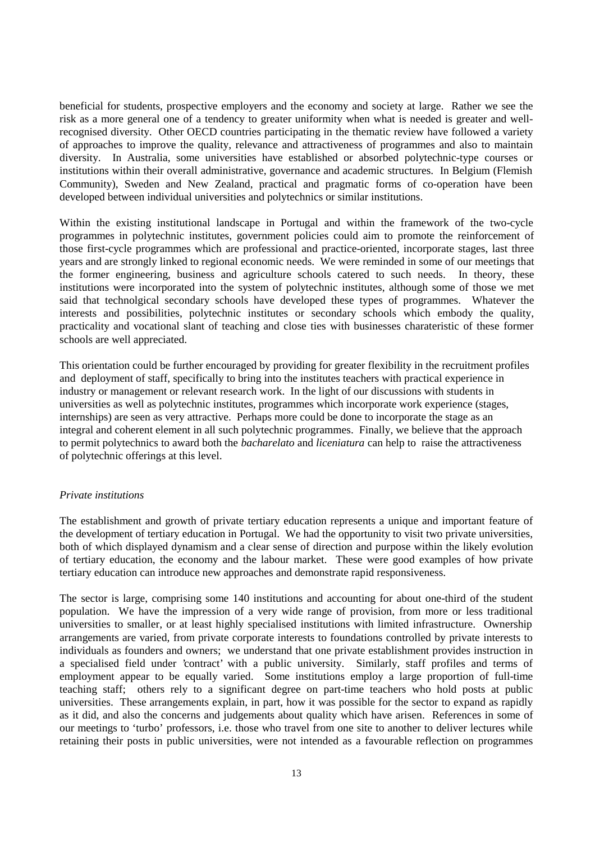beneficial for students, prospective employers and the economy and society at large. Rather we see the risk as a more general one of a tendency to greater uniformity when what is needed is greater and wellrecognised diversity. Other OECD countries participating in the thematic review have followed a variety of approaches to improve the quality, relevance and attractiveness of programmes and also to maintain diversity. In Australia, some universities have established or absorbed polytechnic-type courses or institutions within their overall administrative, governance and academic structures. In Belgium (Flemish Community), Sweden and New Zealand, practical and pragmatic forms of co-operation have been developed between individual universities and polytechnics or similar institutions.

Within the existing institutional landscape in Portugal and within the framework of the two-cycle programmes in polytechnic institutes, government policies could aim to promote the reinforcement of those first-cycle programmes which are professional and practice-oriented, incorporate stages, last three years and are strongly linked to regional economic needs. We were reminded in some of our meetings that the former engineering, business and agriculture schools catered to such needs. In theory, these institutions were incorporated into the system of polytechnic institutes, although some of those we met said that technolgical secondary schools have developed these types of programmes. Whatever the interests and possibilities, polytechnic institutes or secondary schools which embody the quality, practicality and vocational slant of teaching and close ties with businesses charateristic of these former schools are well appreciated.

This orientation could be further encouraged by providing for greater flexibility in the recruitment profiles and deployment of staff, specifically to bring into the institutes teachers with practical experience in industry or management or relevant research work. In the light of our discussions with students in universities as well as polytechnic institutes, programmes which incorporate work experience (stages, internships) are seen as very attractive. Perhaps more could be done to incorporate the stage as an integral and coherent element in all such polytechnic programmes. Finally, we believe that the approach to permit polytechnics to award both the *bacharelato* and *liceniatura* can help to raise the attractiveness of polytechnic offerings at this level.

#### *Private institutions*

The establishment and growth of private tertiary education represents a unique and important feature of the development of tertiary education in Portugal. We had the opportunity to visit two private universities, both of which displayed dynamism and a clear sense of direction and purpose within the likely evolution of tertiary education, the economy and the labour market. These were good examples of how private tertiary education can introduce new approaches and demonstrate rapid responsiveness.

The sector is large, comprising some 140 institutions and accounting for about one-third of the student population. We have the impression of a very wide range of provision, from more or less traditional universities to smaller, or at least highly specialised institutions with limited infrastructure. Ownership arrangements are varied, from private corporate interests to foundations controlled by private interests to individuals as founders and owners; we understand that one private establishment provides instruction in a specialised field under 'contract' with a public university. Similarly, staff profiles and terms of employment appear to be equally varied. Some institutions employ a large proportion of full-time teaching staff; others rely to a significant degree on part-time teachers who hold posts at public universities. These arrangements explain, in part, how it was possible for the sector to expand as rapidly as it did, and also the concerns and judgements about quality which have arisen. References in some of our meetings to 'turbo' professors, i.e. those who travel from one site to another to deliver lectures while retaining their posts in public universities, were not intended as a favourable reflection on programmes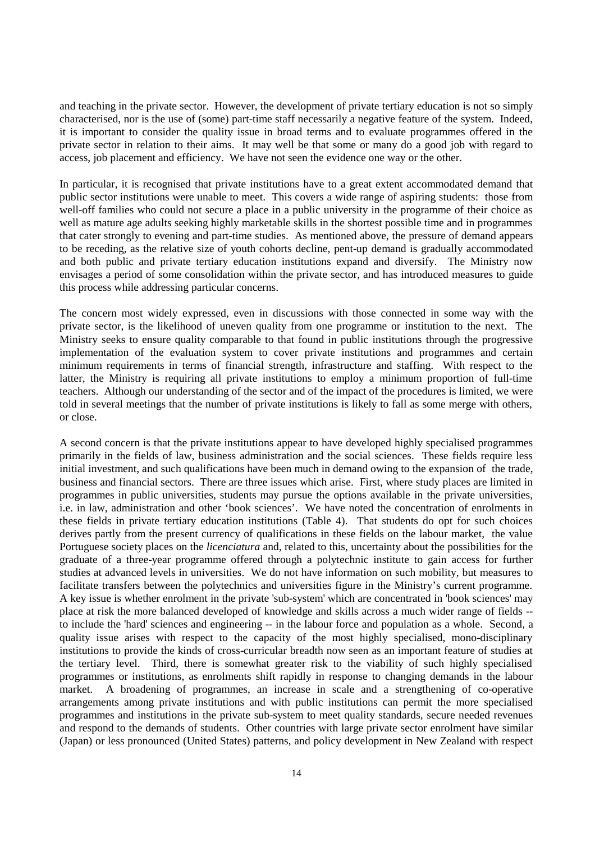and teaching in the private sector. However, the development of private tertiary education is not so simply characterised, nor is the use of (some) part-time staff necessarily a negative feature of the system. Indeed, it is important to consider the quality issue in broad terms and to evaluate programmes offered in the private sector in relation to their aims. It may well be that some or many do a good job with regard to access, job placement and efficiency. We have not seen the evidence one way or the other.

In particular, it is recognised that private institutions have to a great extent accommodated demand that public sector institutions were unable to meet. This covers a wide range of aspiring students: those from well-off families who could not secure a place in a public university in the programme of their choice as well as mature age adults seeking highly marketable skills in the shortest possible time and in programmes that cater strongly to evening and part-time studies. As mentioned above, the pressure of demand appears to be receding, as the relative size of youth cohorts decline, pent-up demand is gradually accommodated and both public and private tertiary education institutions expand and diversify. The Ministry now envisages a period of some consolidation within the private sector, and has introduced measures to guide this process while addressing particular concerns.

The concern most widely expressed, even in discussions with those connected in some way with the private sector, is the likelihood of uneven quality from one programme or institution to the next. The Ministry seeks to ensure quality comparable to that found in public institutions through the progressive implementation of the evaluation system to cover private institutions and programmes and certain minimum requirements in terms of financial strength, infrastructure and staffing. With respect to the latter, the Ministry is requiring all private institutions to employ a minimum proportion of full-time teachers. Although our understanding of the sector and of the impact of the procedures is limited, we were told in several meetings that the number of private institutions is likely to fall as some merge with others, or close.

A second concern is that the private institutions appear to have developed highly specialised programmes primarily in the fields of law, business administration and the social sciences. These fields require less initial investment, and such qualifications have been much in demand owing to the expansion of the trade, business and financial sectors. There are three issues which arise. First, where study places are limited in programmes in public universities, students may pursue the options available in the private universities, i.e. in law, administration and other 'book sciences'. We have noted the concentration of enrolments in these fields in private tertiary education institutions (Table 4). That students do opt for such choices derives partly from the present currency of qualifications in these fields on the labour market, the value Portuguese society places on the *licenciatura* and, related to this, uncertainty about the possibilities for the graduate of a three-year programme offered through a polytechnic institute to gain access for further studies at advanced levels in universities. We do not have information on such mobility, but measures to facilitate transfers between the polytechnics and universities figure in the Ministry's current programme. A key issue is whether enrolment in the private 'sub-system' which are concentrated in 'book sciences' may place at risk the more balanced developed of knowledge and skills across a much wider range of fields - to include the 'hard' sciences and engineering -- in the labour force and population as a whole. Second, a quality issue arises with respect to the capacity of the most highly specialised, mono-disciplinary institutions to provide the kinds of cross-curricular breadth now seen as an important feature of studies at the tertiary level. Third, there is somewhat greater risk to the viability of such highly specialised programmes or institutions, as enrolments shift rapidly in response to changing demands in the labour market. A broadening of programmes, an increase in scale and a strengthening of co-operative arrangements among private institutions and with public institutions can permit the more specialised programmes and institutions in the private sub-system to meet quality standards, secure needed revenues and respond to the demands of students. Other countries with large private sector enrolment have similar (Japan) or less pronounced (United States) patterns, and policy development in New Zealand with respect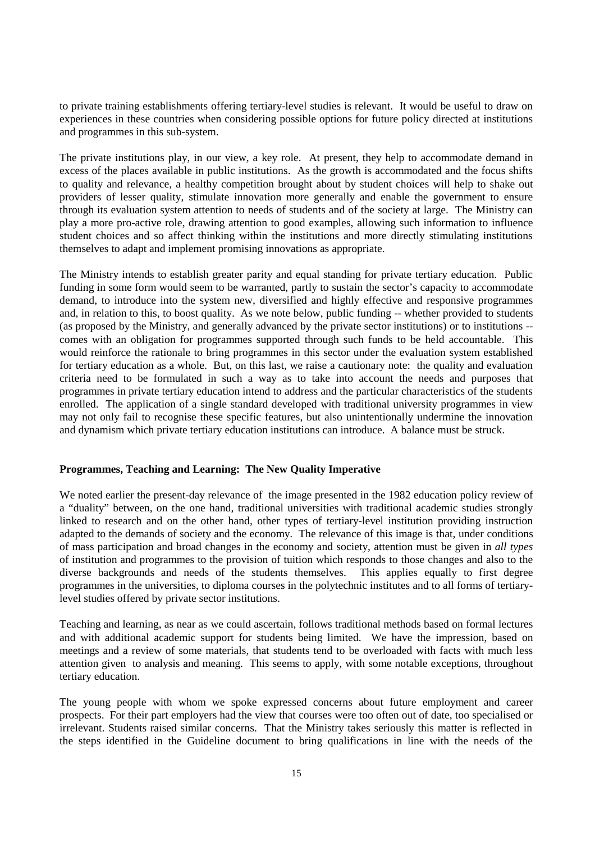to private training establishments offering tertiary-level studies is relevant. It would be useful to draw on experiences in these countries when considering possible options for future policy directed at institutions and programmes in this sub-system.

The private institutions play, in our view, a key role. At present, they help to accommodate demand in excess of the places available in public institutions. As the growth is accommodated and the focus shifts to quality and relevance, a healthy competition brought about by student choices will help to shake out providers of lesser quality, stimulate innovation more generally and enable the government to ensure through its evaluation system attention to needs of students and of the society at large. The Ministry can play a more pro-active role, drawing attention to good examples, allowing such information to influence student choices and so affect thinking within the institutions and more directly stimulating institutions themselves to adapt and implement promising innovations as appropriate.

The Ministry intends to establish greater parity and equal standing for private tertiary education. Public funding in some form would seem to be warranted, partly to sustain the sector's capacity to accommodate demand, to introduce into the system new, diversified and highly effective and responsive programmes and, in relation to this, to boost quality. As we note below, public funding -- whether provided to students (as proposed by the Ministry, and generally advanced by the private sector institutions) or to institutions - comes with an obligation for programmes supported through such funds to be held accountable. This would reinforce the rationale to bring programmes in this sector under the evaluation system established for tertiary education as a whole. But, on this last, we raise a cautionary note: the quality and evaluation criteria need to be formulated in such a way as to take into account the needs and purposes that programmes in private tertiary education intend to address and the particular characteristics of the students enrolled. The application of a single standard developed with traditional university programmes in view may not only fail to recognise these specific features, but also unintentionally undermine the innovation and dynamism which private tertiary education institutions can introduce. A balance must be struck.

#### **Programmes, Teaching and Learning: The New Quality Imperative**

We noted earlier the present-day relevance of the image presented in the 1982 education policy review of a "duality" between, on the one hand, traditional universities with traditional academic studies strongly linked to research and on the other hand, other types of tertiary-level institution providing instruction adapted to the demands of society and the economy. The relevance of this image is that, under conditions of mass participation and broad changes in the economy and society, attention must be given in *all types* of institution and programmes to the provision of tuition which responds to those changes and also to the diverse backgrounds and needs of the students themselves. This applies equally to first degree programmes in the universities, to diploma courses in the polytechnic institutes and to all forms of tertiarylevel studies offered by private sector institutions.

Teaching and learning, as near as we could ascertain, follows traditional methods based on formal lectures and with additional academic support for students being limited. We have the impression, based on meetings and a review of some materials, that students tend to be overloaded with facts with much less attention given to analysis and meaning. This seems to apply, with some notable exceptions, throughout tertiary education.

The young people with whom we spoke expressed concerns about future employment and career prospects. For their part employers had the view that courses were too often out of date, too specialised or irrelevant. Students raised similar concerns. That the Ministry takes seriously this matter is reflected in the steps identified in the Guideline document to bring qualifications in line with the needs of the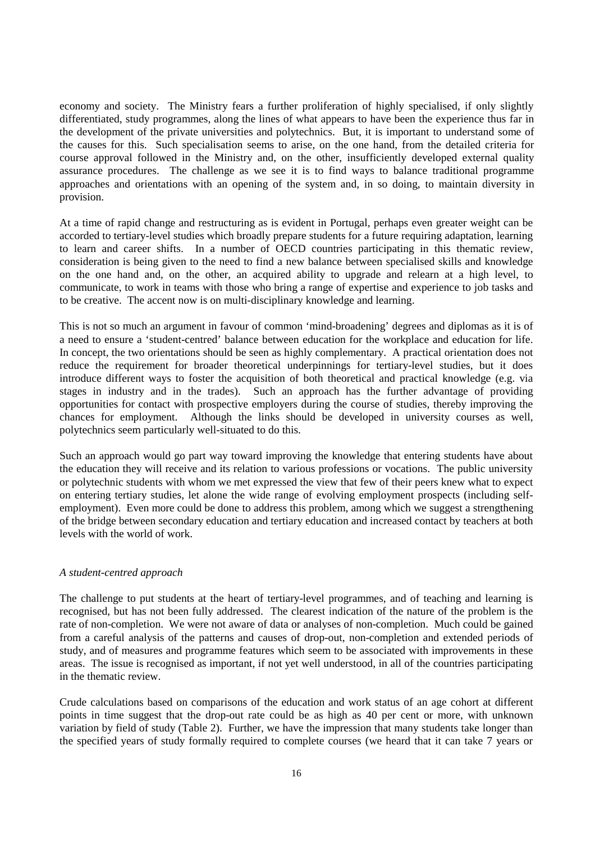economy and society. The Ministry fears a further proliferation of highly specialised, if only slightly differentiated, study programmes, along the lines of what appears to have been the experience thus far in the development of the private universities and polytechnics. But, it is important to understand some of the causes for this. Such specialisation seems to arise, on the one hand, from the detailed criteria for course approval followed in the Ministry and, on the other, insufficiently developed external quality assurance procedures. The challenge as we see it is to find ways to balance traditional programme approaches and orientations with an opening of the system and, in so doing, to maintain diversity in provision.

At a time of rapid change and restructuring as is evident in Portugal, perhaps even greater weight can be accorded to tertiary-level studies which broadly prepare students for a future requiring adaptation, learning to learn and career shifts. In a number of OECD countries participating in this thematic review, consideration is being given to the need to find a new balance between specialised skills and knowledge on the one hand and, on the other, an acquired ability to upgrade and relearn at a high level, to communicate, to work in teams with those who bring a range of expertise and experience to job tasks and to be creative. The accent now is on multi-disciplinary knowledge and learning.

This is not so much an argument in favour of common 'mind-broadening' degrees and diplomas as it is of a need to ensure a 'student-centred' balance between education for the workplace and education for life. In concept, the two orientations should be seen as highly complementary. A practical orientation does not reduce the requirement for broader theoretical underpinnings for tertiary-level studies, but it does introduce different ways to foster the acquisition of both theoretical and practical knowledge (e.g. via stages in industry and in the trades). Such an approach has the further advantage of providing opportunities for contact with prospective employers during the course of studies, thereby improving the chances for employment. Although the links should be developed in university courses as well, polytechnics seem particularly well-situated to do this.

Such an approach would go part way toward improving the knowledge that entering students have about the education they will receive and its relation to various professions or vocations. The public university or polytechnic students with whom we met expressed the view that few of their peers knew what to expect on entering tertiary studies, let alone the wide range of evolving employment prospects (including selfemployment). Even more could be done to address this problem, among which we suggest a strengthening of the bridge between secondary education and tertiary education and increased contact by teachers at both levels with the world of work.

#### *A student-centred approach*

The challenge to put students at the heart of tertiary-level programmes, and of teaching and learning is recognised, but has not been fully addressed. The clearest indication of the nature of the problem is the rate of non-completion. We were not aware of data or analyses of non-completion. Much could be gained from a careful analysis of the patterns and causes of drop-out, non-completion and extended periods of study, and of measures and programme features which seem to be associated with improvements in these areas. The issue is recognised as important, if not yet well understood, in all of the countries participating in the thematic review.

Crude calculations based on comparisons of the education and work status of an age cohort at different points in time suggest that the drop-out rate could be as high as 40 per cent or more, with unknown variation by field of study (Table 2). Further, we have the impression that many students take longer than the specified years of study formally required to complete courses (we heard that it can take 7 years or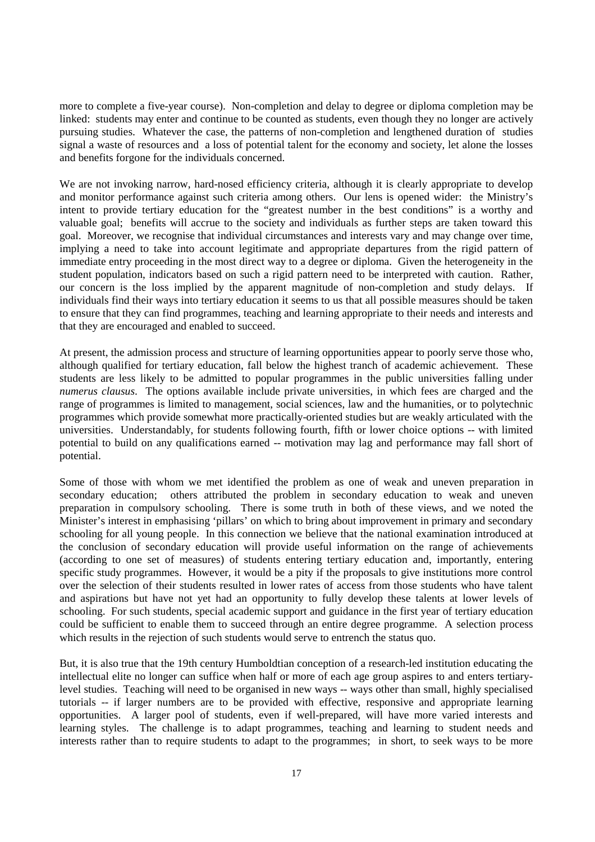more to complete a five-year course). Non-completion and delay to degree or diploma completion may be linked: students may enter and continue to be counted as students, even though they no longer are actively pursuing studies. Whatever the case, the patterns of non-completion and lengthened duration of studies signal a waste of resources and a loss of potential talent for the economy and society, let alone the losses and benefits forgone for the individuals concerned.

We are not invoking narrow, hard-nosed efficiency criteria, although it is clearly appropriate to develop and monitor performance against such criteria among others. Our lens is opened wider: the Ministry's intent to provide tertiary education for the "greatest number in the best conditions" is a worthy and valuable goal; benefits will accrue to the society and individuals as further steps are taken toward this goal. Moreover, we recognise that individual circumstances and interests vary and may change over time, implying a need to take into account legitimate and appropriate departures from the rigid pattern of immediate entry proceeding in the most direct way to a degree or diploma. Given the heterogeneity in the student population, indicators based on such a rigid pattern need to be interpreted with caution. Rather, our concern is the loss implied by the apparent magnitude of non-completion and study delays. If individuals find their ways into tertiary education it seems to us that all possible measures should be taken to ensure that they can find programmes, teaching and learning appropriate to their needs and interests and that they are encouraged and enabled to succeed.

At present, the admission process and structure of learning opportunities appear to poorly serve those who, although qualified for tertiary education, fall below the highest tranch of academic achievement. These students are less likely to be admitted to popular programmes in the public universities falling under *numerus clausus*. The options available include private universities, in which fees are charged and the range of programmes is limited to management, social sciences, law and the humanities, or to polytechnic programmes which provide somewhat more practically-oriented studies but are weakly articulated with the universities. Understandably, for students following fourth, fifth or lower choice options -- with limited potential to build on any qualifications earned -- motivation may lag and performance may fall short of potential.

Some of those with whom we met identified the problem as one of weak and uneven preparation in secondary education; others attributed the problem in secondary education to weak and uneven preparation in compulsory schooling. There is some truth in both of these views, and we noted the Minister's interest in emphasising 'pillars' on which to bring about improvement in primary and secondary schooling for all young people. In this connection we believe that the national examination introduced at the conclusion of secondary education will provide useful information on the range of achievements (according to one set of measures) of students entering tertiary education and, importantly, entering specific study programmes. However, it would be a pity if the proposals to give institutions more control over the selection of their students resulted in lower rates of access from those students who have talent and aspirations but have not yet had an opportunity to fully develop these talents at lower levels of schooling. For such students, special academic support and guidance in the first year of tertiary education could be sufficient to enable them to succeed through an entire degree programme. A selection process which results in the rejection of such students would serve to entrench the status quo.

But, it is also true that the 19th century Humboldtian conception of a research-led institution educating the intellectual elite no longer can suffice when half or more of each age group aspires to and enters tertiarylevel studies. Teaching will need to be organised in new ways -- ways other than small, highly specialised tutorials -- if larger numbers are to be provided with effective, responsive and appropriate learning opportunities. A larger pool of students, even if well-prepared, will have more varied interests and learning styles. The challenge is to adapt programmes, teaching and learning to student needs and interests rather than to require students to adapt to the programmes; in short, to seek ways to be more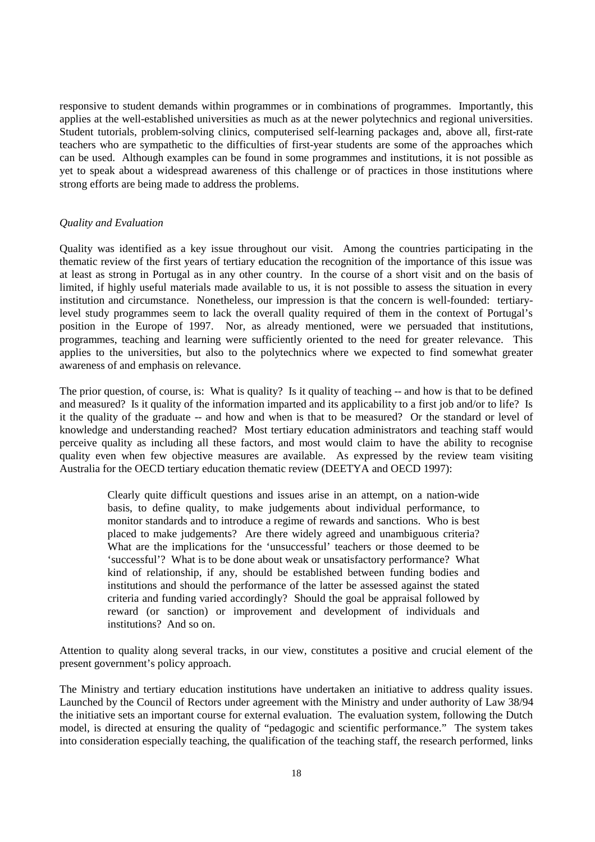responsive to student demands within programmes or in combinations of programmes. Importantly, this applies at the well-established universities as much as at the newer polytechnics and regional universities. Student tutorials, problem-solving clinics, computerised self-learning packages and, above all, first-rate teachers who are sympathetic to the difficulties of first-year students are some of the approaches which can be used. Although examples can be found in some programmes and institutions, it is not possible as yet to speak about a widespread awareness of this challenge or of practices in those institutions where strong efforts are being made to address the problems.

#### *Quality and Evaluation*

Quality was identified as a key issue throughout our visit. Among the countries participating in the thematic review of the first years of tertiary education the recognition of the importance of this issue was at least as strong in Portugal as in any other country. In the course of a short visit and on the basis of limited, if highly useful materials made available to us, it is not possible to assess the situation in every institution and circumstance. Nonetheless, our impression is that the concern is well-founded: tertiarylevel study programmes seem to lack the overall quality required of them in the context of Portugal's position in the Europe of 1997. Nor, as already mentioned, were we persuaded that institutions, programmes, teaching and learning were sufficiently oriented to the need for greater relevance. This applies to the universities, but also to the polytechnics where we expected to find somewhat greater awareness of and emphasis on relevance.

The prior question, of course, is: What is quality? Is it quality of teaching -- and how is that to be defined and measured? Is it quality of the information imparted and its applicability to a first job and/or to life? Is it the quality of the graduate -- and how and when is that to be measured? Or the standard or level of knowledge and understanding reached? Most tertiary education administrators and teaching staff would perceive quality as including all these factors, and most would claim to have the ability to recognise quality even when few objective measures are available. As expressed by the review team visiting Australia for the OECD tertiary education thematic review (DEETYA and OECD 1997):

> Clearly quite difficult questions and issues arise in an attempt, on a nation-wide basis, to define quality, to make judgements about individual performance, to monitor standards and to introduce a regime of rewards and sanctions. Who is best placed to make judgements? Are there widely agreed and unambiguous criteria? What are the implications for the 'unsuccessful' teachers or those deemed to be 'successful'? What is to be done about weak or unsatisfactory performance? What kind of relationship, if any, should be established between funding bodies and institutions and should the performance of the latter be assessed against the stated criteria and funding varied accordingly? Should the goal be appraisal followed by reward (or sanction) or improvement and development of individuals and institutions? And so on.

Attention to quality along several tracks, in our view, constitutes a positive and crucial element of the present government's policy approach.

The Ministry and tertiary education institutions have undertaken an initiative to address quality issues. Launched by the Council of Rectors under agreement with the Ministry and under authority of Law 38/94 the initiative sets an important course for external evaluation. The evaluation system, following the Dutch model, is directed at ensuring the quality of "pedagogic and scientific performance." The system takes into consideration especially teaching, the qualification of the teaching staff, the research performed, links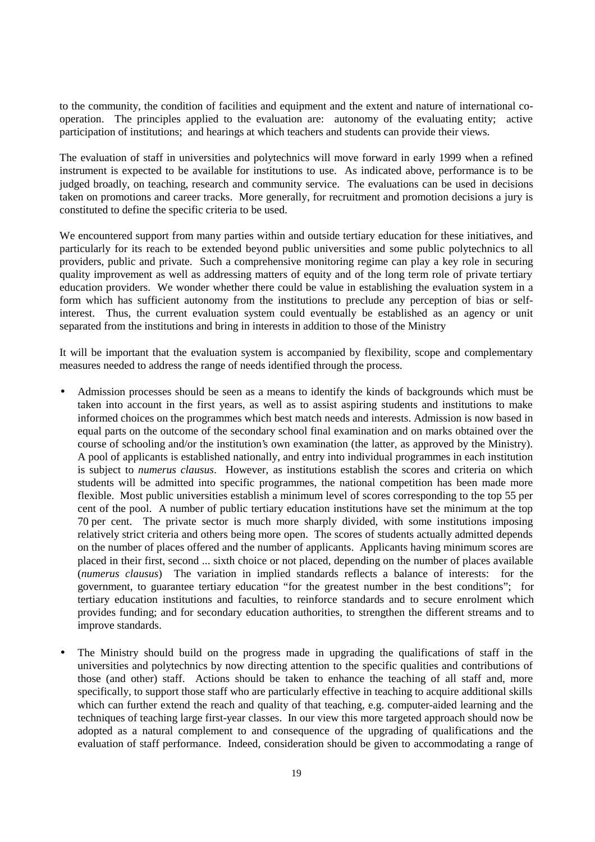to the community, the condition of facilities and equipment and the extent and nature of international cooperation. The principles applied to the evaluation are: autonomy of the evaluating entity; active participation of institutions; and hearings at which teachers and students can provide their views.

The evaluation of staff in universities and polytechnics will move forward in early 1999 when a refined instrument is expected to be available for institutions to use. As indicated above, performance is to be judged broadly, on teaching, research and community service. The evaluations can be used in decisions taken on promotions and career tracks. More generally, for recruitment and promotion decisions a jury is constituted to define the specific criteria to be used.

We encountered support from many parties within and outside tertiary education for these initiatives, and particularly for its reach to be extended beyond public universities and some public polytechnics to all providers, public and private. Such a comprehensive monitoring regime can play a key role in securing quality improvement as well as addressing matters of equity and of the long term role of private tertiary education providers. We wonder whether there could be value in establishing the evaluation system in a form which has sufficient autonomy from the institutions to preclude any perception of bias or selfinterest. Thus, the current evaluation system could eventually be established as an agency or unit separated from the institutions and bring in interests in addition to those of the Ministry

It will be important that the evaluation system is accompanied by flexibility, scope and complementary measures needed to address the range of needs identified through the process.

- Admission processes should be seen as a means to identify the kinds of backgrounds which must be taken into account in the first years, as well as to assist aspiring students and institutions to make informed choices on the programmes which best match needs and interests. Admission is now based in equal parts on the outcome of the secondary school final examination and on marks obtained over the course of schooling and/or the institution's own examination (the latter, as approved by the Ministry). A pool of applicants is established nationally, and entry into individual programmes in each institution is subject to *numerus clausus*. However, as institutions establish the scores and criteria on which students will be admitted into specific programmes, the national competition has been made more flexible. Most public universities establish a minimum level of scores corresponding to the top 55 per cent of the pool. A number of public tertiary education institutions have set the minimum at the top 70 per cent. The private sector is much more sharply divided, with some institutions imposing relatively strict criteria and others being more open. The scores of students actually admitted depends on the number of places offered and the number of applicants. Applicants having minimum scores are placed in their first, second ... sixth choice or not placed, depending on the number of places available (*numerus clausus*) The variation in implied standards reflects a balance of interests: for the government, to guarantee tertiary education "for the greatest number in the best conditions"; for tertiary education institutions and faculties, to reinforce standards and to secure enrolment which provides funding; and for secondary education authorities, to strengthen the different streams and to improve standards.
- The Ministry should build on the progress made in upgrading the qualifications of staff in the universities and polytechnics by now directing attention to the specific qualities and contributions of those (and other) staff. Actions should be taken to enhance the teaching of all staff and, more specifically, to support those staff who are particularly effective in teaching to acquire additional skills which can further extend the reach and quality of that teaching, e.g. computer-aided learning and the techniques of teaching large first-year classes. In our view this more targeted approach should now be adopted as a natural complement to and consequence of the upgrading of qualifications and the evaluation of staff performance. Indeed, consideration should be given to accommodating a range of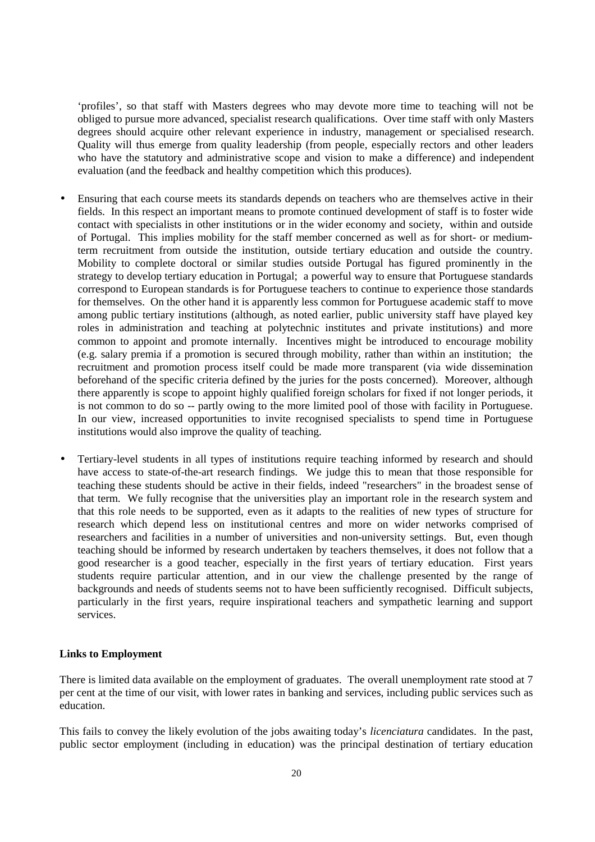'profiles', so that staff with Masters degrees who may devote more time to teaching will not be obliged to pursue more advanced, specialist research qualifications. Over time staff with only Masters degrees should acquire other relevant experience in industry, management or specialised research. Quality will thus emerge from quality leadership (from people, especially rectors and other leaders who have the statutory and administrative scope and vision to make a difference) and independent evaluation (and the feedback and healthy competition which this produces).

- Ensuring that each course meets its standards depends on teachers who are themselves active in their fields. In this respect an important means to promote continued development of staff is to foster wide contact with specialists in other institutions or in the wider economy and society, within and outside of Portugal. This implies mobility for the staff member concerned as well as for short- or mediumterm recruitment from outside the institution, outside tertiary education and outside the country. Mobility to complete doctoral or similar studies outside Portugal has figured prominently in the strategy to develop tertiary education in Portugal; a powerful way to ensure that Portuguese standards correspond to European standards is for Portuguese teachers to continue to experience those standards for themselves. On the other hand it is apparently less common for Portuguese academic staff to move among public tertiary institutions (although, as noted earlier, public university staff have played key roles in administration and teaching at polytechnic institutes and private institutions) and more common to appoint and promote internally. Incentives might be introduced to encourage mobility (e.g. salary premia if a promotion is secured through mobility, rather than within an institution; the recruitment and promotion process itself could be made more transparent (via wide dissemination beforehand of the specific criteria defined by the juries for the posts concerned). Moreover, although there apparently is scope to appoint highly qualified foreign scholars for fixed if not longer periods, it is not common to do so -- partly owing to the more limited pool of those with facility in Portuguese. In our view, increased opportunities to invite recognised specialists to spend time in Portuguese institutions would also improve the quality of teaching.
- Tertiary-level students in all types of institutions require teaching informed by research and should have access to state-of-the-art research findings. We judge this to mean that those responsible for teaching these students should be active in their fields, indeed "researchers" in the broadest sense of that term. We fully recognise that the universities play an important role in the research system and that this role needs to be supported, even as it adapts to the realities of new types of structure for research which depend less on institutional centres and more on wider networks comprised of researchers and facilities in a number of universities and non-university settings. But, even though teaching should be informed by research undertaken by teachers themselves, it does not follow that a good researcher is a good teacher, especially in the first years of tertiary education. First years students require particular attention, and in our view the challenge presented by the range of backgrounds and needs of students seems not to have been sufficiently recognised. Difficult subjects, particularly in the first years, require inspirational teachers and sympathetic learning and support services.

#### **Links to Employment**

There is limited data available on the employment of graduates. The overall unemployment rate stood at 7 per cent at the time of our visit, with lower rates in banking and services, including public services such as education.

This fails to convey the likely evolution of the jobs awaiting today's *licenciatura* candidates. In the past, public sector employment (including in education) was the principal destination of tertiary education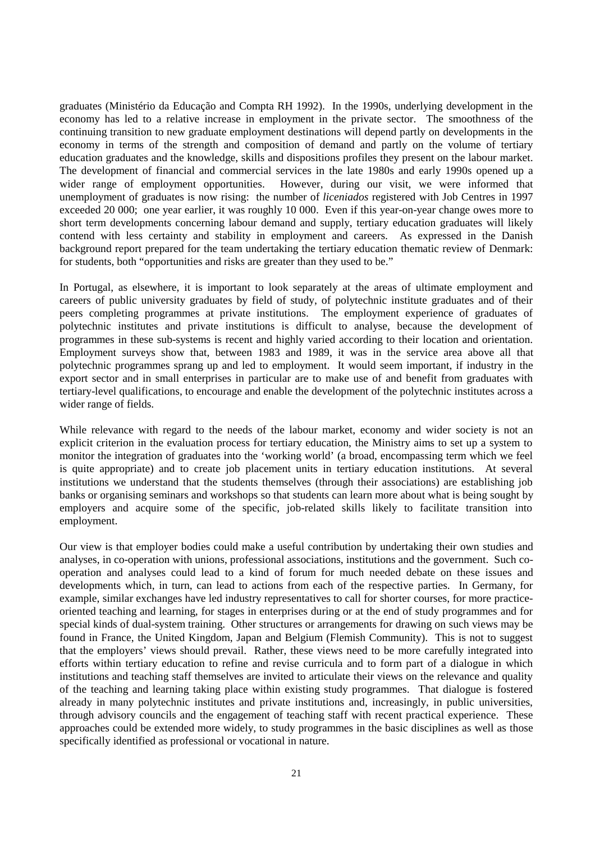graduates (Ministério da Educação and Compta RH 1992). In the 1990s, underlying development in the economy has led to a relative increase in employment in the private sector. The smoothness of the continuing transition to new graduate employment destinations will depend partly on developments in the economy in terms of the strength and composition of demand and partly on the volume of tertiary education graduates and the knowledge, skills and dispositions profiles they present on the labour market. The development of financial and commercial services in the late 1980s and early 1990s opened up a wider range of employment opportunities. However, during our visit, we were informed that unemployment of graduates is now rising: the number of *liceniados* registered with Job Centres in 1997 exceeded 20 000; one year earlier, it was roughly 10 000. Even if this year-on-year change owes more to short term developments concerning labour demand and supply, tertiary education graduates will likely contend with less certainty and stability in employment and careers. As expressed in the Danish background report prepared for the team undertaking the tertiary education thematic review of Denmark: for students, both "opportunities and risks are greater than they used to be."

In Portugal, as elsewhere, it is important to look separately at the areas of ultimate employment and careers of public university graduates by field of study, of polytechnic institute graduates and of their peers completing programmes at private institutions. The employment experience of graduates of polytechnic institutes and private institutions is difficult to analyse, because the development of programmes in these sub-systems is recent and highly varied according to their location and orientation. Employment surveys show that, between 1983 and 1989, it was in the service area above all that polytechnic programmes sprang up and led to employment. It would seem important, if industry in the export sector and in small enterprises in particular are to make use of and benefit from graduates with tertiary-level qualifications, to encourage and enable the development of the polytechnic institutes across a wider range of fields.

While relevance with regard to the needs of the labour market, economy and wider society is not an explicit criterion in the evaluation process for tertiary education, the Ministry aims to set up a system to monitor the integration of graduates into the 'working world' (a broad, encompassing term which we feel is quite appropriate) and to create job placement units in tertiary education institutions. At several institutions we understand that the students themselves (through their associations) are establishing job banks or organising seminars and workshops so that students can learn more about what is being sought by employers and acquire some of the specific, job-related skills likely to facilitate transition into employment.

Our view is that employer bodies could make a useful contribution by undertaking their own studies and analyses, in co-operation with unions, professional associations, institutions and the government. Such cooperation and analyses could lead to a kind of forum for much needed debate on these issues and developments which, in turn, can lead to actions from each of the respective parties. In Germany, for example, similar exchanges have led industry representatives to call for shorter courses, for more practiceoriented teaching and learning, for stages in enterprises during or at the end of study programmes and for special kinds of dual-system training. Other structures or arrangements for drawing on such views may be found in France, the United Kingdom, Japan and Belgium (Flemish Community). This is not to suggest that the employers' views should prevail. Rather, these views need to be more carefully integrated into efforts within tertiary education to refine and revise curricula and to form part of a dialogue in which institutions and teaching staff themselves are invited to articulate their views on the relevance and quality of the teaching and learning taking place within existing study programmes. That dialogue is fostered already in many polytechnic institutes and private institutions and, increasingly, in public universities, through advisory councils and the engagement of teaching staff with recent practical experience. These approaches could be extended more widely, to study programmes in the basic disciplines as well as those specifically identified as professional or vocational in nature.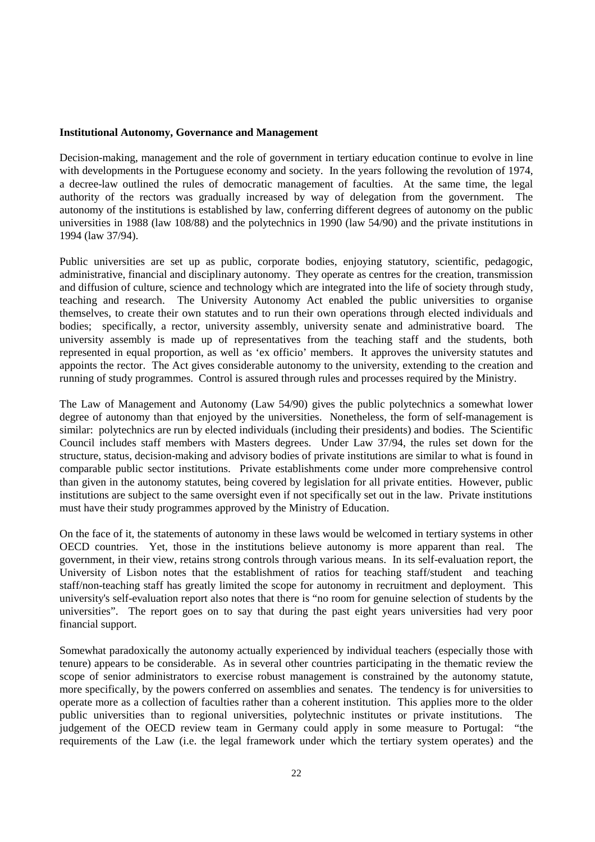#### **Institutional Autonomy, Governance and Management**

Decision-making, management and the role of government in tertiary education continue to evolve in line with developments in the Portuguese economy and society. In the years following the revolution of 1974, a decree-law outlined the rules of democratic management of faculties. At the same time, the legal authority of the rectors was gradually increased by way of delegation from the government. The autonomy of the institutions is established by law, conferring different degrees of autonomy on the public universities in 1988 (law 108/88) and the polytechnics in 1990 (law 54/90) and the private institutions in 1994 (law 37/94).

Public universities are set up as public, corporate bodies, enjoying statutory, scientific, pedagogic, administrative, financial and disciplinary autonomy. They operate as centres for the creation, transmission and diffusion of culture, science and technology which are integrated into the life of society through study, teaching and research. The University Autonomy Act enabled the public universities to organise themselves, to create their own statutes and to run their own operations through elected individuals and bodies; specifically, a rector, university assembly, university senate and administrative board. The university assembly is made up of representatives from the teaching staff and the students, both represented in equal proportion, as well as 'ex officio' members. It approves the university statutes and appoints the rector. The Act gives considerable autonomy to the university, extending to the creation and running of study programmes. Control is assured through rules and processes required by the Ministry.

The Law of Management and Autonomy (Law 54/90) gives the public polytechnics a somewhat lower degree of autonomy than that enjoyed by the universities. Nonetheless, the form of self-management is similar: polytechnics are run by elected individuals (including their presidents) and bodies. The Scientific Council includes staff members with Masters degrees. Under Law 37/94, the rules set down for the structure, status, decision-making and advisory bodies of private institutions are similar to what is found in comparable public sector institutions. Private establishments come under more comprehensive control than given in the autonomy statutes, being covered by legislation for all private entities. However, public institutions are subject to the same oversight even if not specifically set out in the law. Private institutions must have their study programmes approved by the Ministry of Education.

On the face of it, the statements of autonomy in these laws would be welcomed in tertiary systems in other OECD countries. Yet, those in the institutions believe autonomy is more apparent than real. The government, in their view, retains strong controls through various means. In its self-evaluation report, the University of Lisbon notes that the establishment of ratios for teaching staff/student and teaching staff/non-teaching staff has greatly limited the scope for autonomy in recruitment and deployment. This university's self-evaluation report also notes that there is "no room for genuine selection of students by the universities". The report goes on to say that during the past eight years universities had very poor financial support.

Somewhat paradoxically the autonomy actually experienced by individual teachers (especially those with tenure) appears to be considerable. As in several other countries participating in the thematic review the scope of senior administrators to exercise robust management is constrained by the autonomy statute, more specifically, by the powers conferred on assemblies and senates. The tendency is for universities to operate more as a collection of faculties rather than a coherent institution. This applies more to the older public universities than to regional universities, polytechnic institutes or private institutions. The judgement of the OECD review team in Germany could apply in some measure to Portugal: "the requirements of the Law (i.e. the legal framework under which the tertiary system operates) and the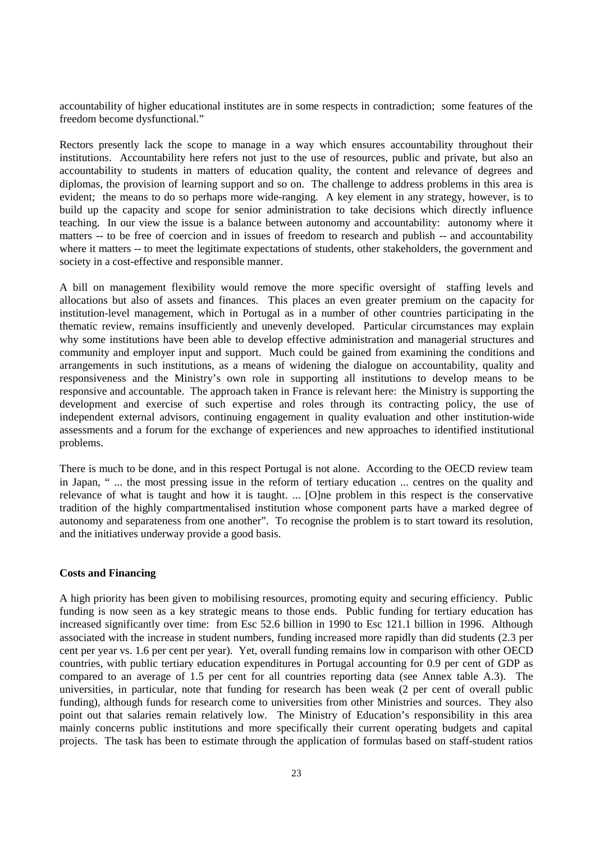accountability of higher educational institutes are in some respects in contradiction; some features of the freedom become dysfunctional."

Rectors presently lack the scope to manage in a way which ensures accountability throughout their institutions. Accountability here refers not just to the use of resources, public and private, but also an accountability to students in matters of education quality, the content and relevance of degrees and diplomas, the provision of learning support and so on. The challenge to address problems in this area is evident; the means to do so perhaps more wide-ranging. A key element in any strategy, however, is to build up the capacity and scope for senior administration to take decisions which directly influence teaching. In our view the issue is a balance between autonomy and accountability: autonomy where it matters -- to be free of coercion and in issues of freedom to research and publish -- and accountability where it matters -- to meet the legitimate expectations of students, other stakeholders, the government and society in a cost-effective and responsible manner.

A bill on management flexibility would remove the more specific oversight of staffing levels and allocations but also of assets and finances. This places an even greater premium on the capacity for institution-level management, which in Portugal as in a number of other countries participating in the thematic review, remains insufficiently and unevenly developed. Particular circumstances may explain why some institutions have been able to develop effective administration and managerial structures and community and employer input and support. Much could be gained from examining the conditions and arrangements in such institutions, as a means of widening the dialogue on accountability, quality and responsiveness and the Ministry's own role in supporting all institutions to develop means to be responsive and accountable. The approach taken in France is relevant here: the Ministry is supporting the development and exercise of such expertise and roles through its contracting policy, the use of independent external advisors, continuing engagement in quality evaluation and other institution-wide assessments and a forum for the exchange of experiences and new approaches to identified institutional problems.

There is much to be done, and in this respect Portugal is not alone. According to the OECD review team in Japan, " ... the most pressing issue in the reform of tertiary education ... centres on the quality and relevance of what is taught and how it is taught. ... [O]ne problem in this respect is the conservative tradition of the highly compartmentalised institution whose component parts have a marked degree of autonomy and separateness from one another". To recognise the problem is to start toward its resolution, and the initiatives underway provide a good basis.

#### **Costs and Financing**

A high priority has been given to mobilising resources, promoting equity and securing efficiency. Public funding is now seen as a key strategic means to those ends. Public funding for tertiary education has increased significantly over time: from Esc 52.6 billion in 1990 to Esc 121.1 billion in 1996. Although associated with the increase in student numbers, funding increased more rapidly than did students (2.3 per cent per year vs. 1.6 per cent per year). Yet, overall funding remains low in comparison with other OECD countries, with public tertiary education expenditures in Portugal accounting for 0.9 per cent of GDP as compared to an average of 1.5 per cent for all countries reporting data (see Annex table A.3). The universities, in particular, note that funding for research has been weak (2 per cent of overall public funding), although funds for research come to universities from other Ministries and sources. They also point out that salaries remain relatively low. The Ministry of Education's responsibility in this area mainly concerns public institutions and more specifically their current operating budgets and capital projects. The task has been to estimate through the application of formulas based on staff-student ratios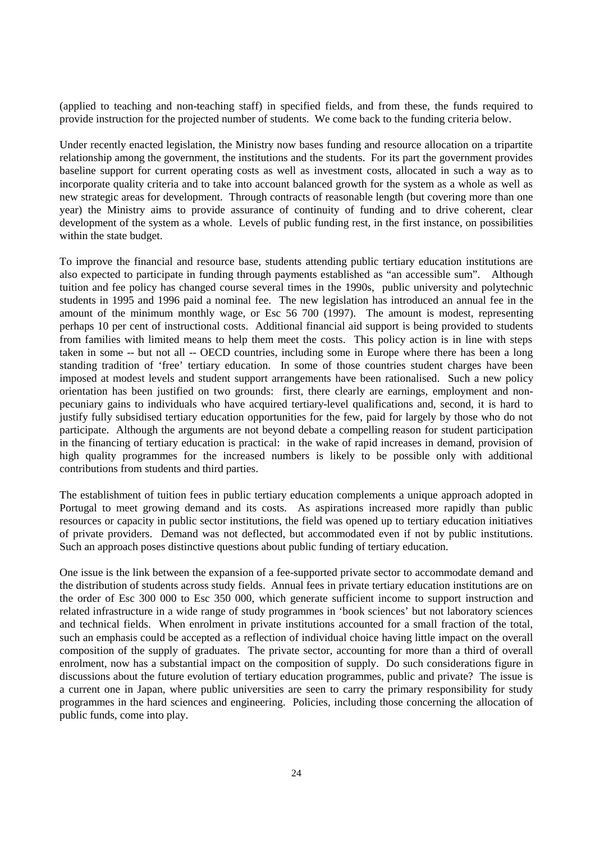(applied to teaching and non-teaching staff) in specified fields, and from these, the funds required to provide instruction for the projected number of students. We come back to the funding criteria below.

Under recently enacted legislation, the Ministry now bases funding and resource allocation on a tripartite relationship among the government, the institutions and the students. For its part the government provides baseline support for current operating costs as well as investment costs, allocated in such a way as to incorporate quality criteria and to take into account balanced growth for the system as a whole as well as new strategic areas for development. Through contracts of reasonable length (but covering more than one year) the Ministry aims to provide assurance of continuity of funding and to drive coherent, clear development of the system as a whole. Levels of public funding rest, in the first instance, on possibilities within the state budget.

To improve the financial and resource base, students attending public tertiary education institutions are also expected to participate in funding through payments established as "an accessible sum". Although tuition and fee policy has changed course several times in the 1990s, public university and polytechnic students in 1995 and 1996 paid a nominal fee. The new legislation has introduced an annual fee in the amount of the minimum monthly wage, or Esc 56 700 (1997). The amount is modest, representing perhaps 10 per cent of instructional costs. Additional financial aid support is being provided to students from families with limited means to help them meet the costs. This policy action is in line with steps taken in some -- but not all -- OECD countries, including some in Europe where there has been a long standing tradition of 'free' tertiary education. In some of those countries student charges have been imposed at modest levels and student support arrangements have been rationalised. Such a new policy orientation has been justified on two grounds: first, there clearly are earnings, employment and nonpecuniary gains to individuals who have acquired tertiary-level qualifications and, second, it is hard to justify fully subsidised tertiary education opportunities for the few, paid for largely by those who do not participate. Although the arguments are not beyond debate a compelling reason for student participation in the financing of tertiary education is practical: in the wake of rapid increases in demand, provision of high quality programmes for the increased numbers is likely to be possible only with additional contributions from students and third parties.

The establishment of tuition fees in public tertiary education complements a unique approach adopted in Portugal to meet growing demand and its costs. As aspirations increased more rapidly than public resources or capacity in public sector institutions, the field was opened up to tertiary education initiatives of private providers. Demand was not deflected, but accommodated even if not by public institutions. Such an approach poses distinctive questions about public funding of tertiary education.

One issue is the link between the expansion of a fee-supported private sector to accommodate demand and the distribution of students across study fields. Annual fees in private tertiary education institutions are on the order of Esc 300 000 to Esc 350 000, which generate sufficient income to support instruction and related infrastructure in a wide range of study programmes in 'book sciences' but not laboratory sciences and technical fields. When enrolment in private institutions accounted for a small fraction of the total, such an emphasis could be accepted as a reflection of individual choice having little impact on the overall composition of the supply of graduates. The private sector, accounting for more than a third of overall enrolment, now has a substantial impact on the composition of supply. Do such considerations figure in discussions about the future evolution of tertiary education programmes, public and private? The issue is a current one in Japan, where public universities are seen to carry the primary responsibility for study programmes in the hard sciences and engineering. Policies, including those concerning the allocation of public funds, come into play.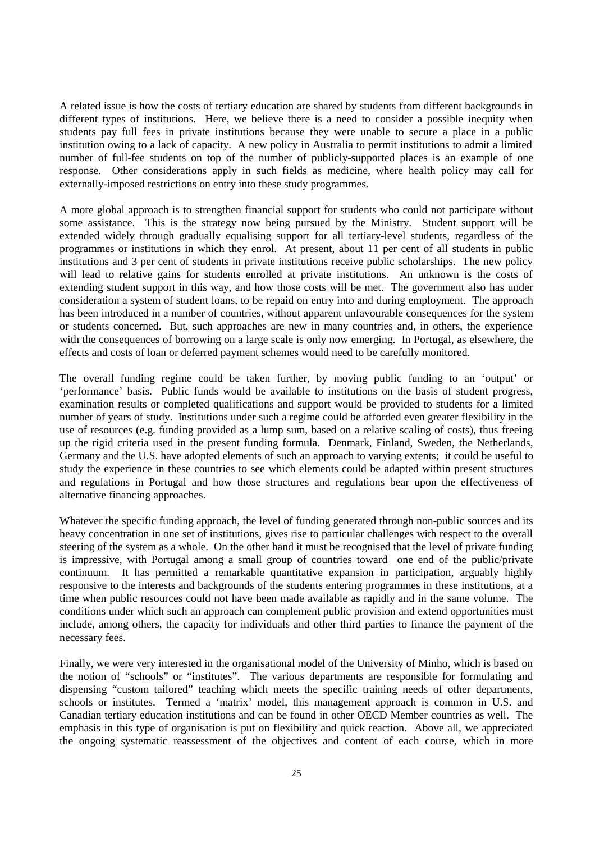A related issue is how the costs of tertiary education are shared by students from different backgrounds in different types of institutions. Here, we believe there is a need to consider a possible inequity when students pay full fees in private institutions because they were unable to secure a place in a public institution owing to a lack of capacity. A new policy in Australia to permit institutions to admit a limited number of full-fee students on top of the number of publicly-supported places is an example of one response. Other considerations apply in such fields as medicine, where health policy may call for externally-imposed restrictions on entry into these study programmes.

A more global approach is to strengthen financial support for students who could not participate without some assistance. This is the strategy now being pursued by the Ministry. Student support will be extended widely through gradually equalising support for all tertiary-level students, regardless of the programmes or institutions in which they enrol. At present, about 11 per cent of all students in public institutions and 3 per cent of students in private institutions receive public scholarships. The new policy will lead to relative gains for students enrolled at private institutions. An unknown is the costs of extending student support in this way, and how those costs will be met. The government also has under consideration a system of student loans, to be repaid on entry into and during employment. The approach has been introduced in a number of countries, without apparent unfavourable consequences for the system or students concerned. But, such approaches are new in many countries and, in others, the experience with the consequences of borrowing on a large scale is only now emerging. In Portugal, as elsewhere, the effects and costs of loan or deferred payment schemes would need to be carefully monitored.

The overall funding regime could be taken further, by moving public funding to an 'output' or 'performance' basis. Public funds would be available to institutions on the basis of student progress, examination results or completed qualifications and support would be provided to students for a limited number of years of study. Institutions under such a regime could be afforded even greater flexibility in the use of resources (e.g. funding provided as a lump sum, based on a relative scaling of costs), thus freeing up the rigid criteria used in the present funding formula. Denmark, Finland, Sweden, the Netherlands, Germany and the U.S. have adopted elements of such an approach to varying extents; it could be useful to study the experience in these countries to see which elements could be adapted within present structures and regulations in Portugal and how those structures and regulations bear upon the effectiveness of alternative financing approaches.

Whatever the specific funding approach, the level of funding generated through non-public sources and its heavy concentration in one set of institutions, gives rise to particular challenges with respect to the overall steering of the system as a whole. On the other hand it must be recognised that the level of private funding is impressive, with Portugal among a small group of countries toward one end of the public/private continuum. It has permitted a remarkable quantitative expansion in participation, arguably highly responsive to the interests and backgrounds of the students entering programmes in these institutions, at a time when public resources could not have been made available as rapidly and in the same volume. The conditions under which such an approach can complement public provision and extend opportunities must include, among others, the capacity for individuals and other third parties to finance the payment of the necessary fees.

Finally, we were very interested in the organisational model of the University of Minho, which is based on the notion of "schools" or "institutes". The various departments are responsible for formulating and dispensing "custom tailored" teaching which meets the specific training needs of other departments, schools or institutes. Termed a 'matrix' model, this management approach is common in U.S. and Canadian tertiary education institutions and can be found in other OECD Member countries as well. The emphasis in this type of organisation is put on flexibility and quick reaction. Above all, we appreciated the ongoing systematic reassessment of the objectives and content of each course, which in more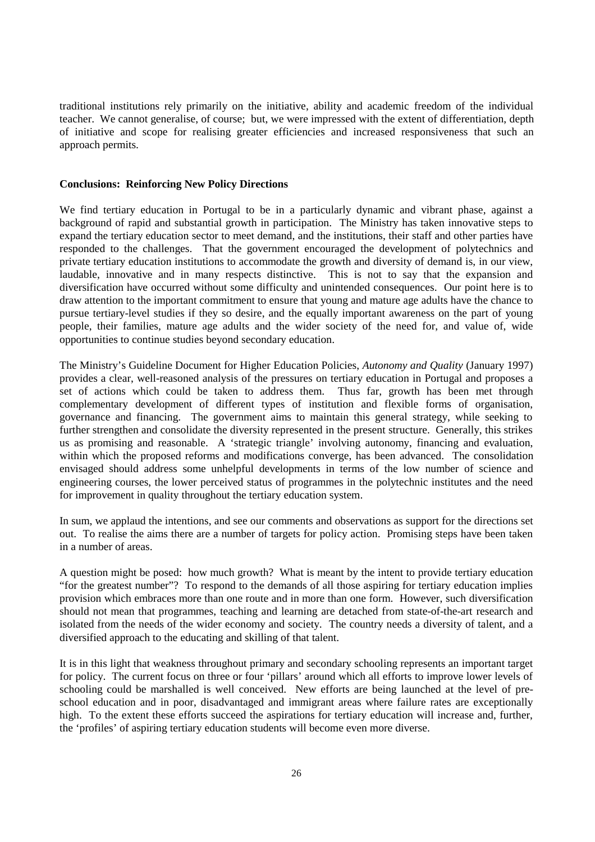traditional institutions rely primarily on the initiative, ability and academic freedom of the individual teacher. We cannot generalise, of course; but, we were impressed with the extent of differentiation, depth of initiative and scope for realising greater efficiencies and increased responsiveness that such an approach permits.

#### **Conclusions: Reinforcing New Policy Directions**

We find tertiary education in Portugal to be in a particularly dynamic and vibrant phase, against a background of rapid and substantial growth in participation. The Ministry has taken innovative steps to expand the tertiary education sector to meet demand, and the institutions, their staff and other parties have responded to the challenges. That the government encouraged the development of polytechnics and private tertiary education institutions to accommodate the growth and diversity of demand is, in our view, laudable, innovative and in many respects distinctive. This is not to say that the expansion and diversification have occurred without some difficulty and unintended consequences. Our point here is to draw attention to the important commitment to ensure that young and mature age adults have the chance to pursue tertiary-level studies if they so desire, and the equally important awareness on the part of young people, their families, mature age adults and the wider society of the need for, and value of, wide opportunities to continue studies beyond secondary education.

The Ministry's Guideline Document for Higher Education Policies, *Autonomy and Quality* (January 1997) provides a clear, well-reasoned analysis of the pressures on tertiary education in Portugal and proposes a set of actions which could be taken to address them. Thus far, growth has been met through complementary development of different types of institution and flexible forms of organisation, governance and financing. The government aims to maintain this general strategy, while seeking to further strengthen and consolidate the diversity represented in the present structure. Generally, this strikes us as promising and reasonable. A 'strategic triangle' involving autonomy, financing and evaluation, within which the proposed reforms and modifications converge, has been advanced. The consolidation envisaged should address some unhelpful developments in terms of the low number of science and engineering courses, the lower perceived status of programmes in the polytechnic institutes and the need for improvement in quality throughout the tertiary education system.

In sum, we applaud the intentions, and see our comments and observations as support for the directions set out. To realise the aims there are a number of targets for policy action. Promising steps have been taken in a number of areas.

A question might be posed: how much growth? What is meant by the intent to provide tertiary education "for the greatest number"? To respond to the demands of all those aspiring for tertiary education implies provision which embraces more than one route and in more than one form. However, such diversification should not mean that programmes, teaching and learning are detached from state-of-the-art research and isolated from the needs of the wider economy and society. The country needs a diversity of talent, and a diversified approach to the educating and skilling of that talent.

It is in this light that weakness throughout primary and secondary schooling represents an important target for policy. The current focus on three or four 'pillars' around which all efforts to improve lower levels of schooling could be marshalled is well conceived. New efforts are being launched at the level of preschool education and in poor, disadvantaged and immigrant areas where failure rates are exceptionally high. To the extent these efforts succeed the aspirations for tertiary education will increase and, further, the 'profiles' of aspiring tertiary education students will become even more diverse.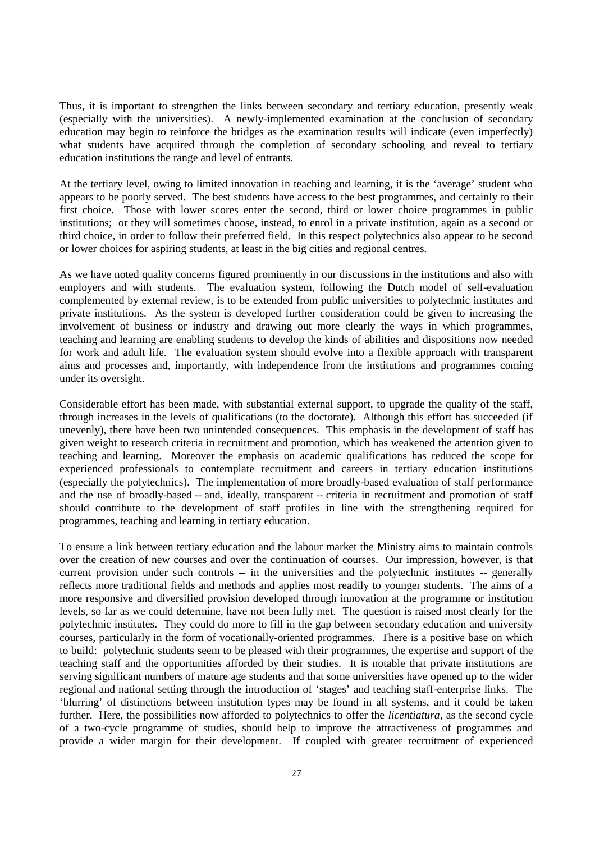Thus, it is important to strengthen the links between secondary and tertiary education, presently weak (especially with the universities). A newly-implemented examination at the conclusion of secondary education may begin to reinforce the bridges as the examination results will indicate (even imperfectly) what students have acquired through the completion of secondary schooling and reveal to tertiary education institutions the range and level of entrants.

At the tertiary level, owing to limited innovation in teaching and learning, it is the 'average' student who appears to be poorly served. The best students have access to the best programmes, and certainly to their first choice. Those with lower scores enter the second, third or lower choice programmes in public institutions; or they will sometimes choose, instead, to enrol in a private institution, again as a second or third choice, in order to follow their preferred field. In this respect polytechnics also appear to be second or lower choices for aspiring students, at least in the big cities and regional centres.

As we have noted quality concerns figured prominently in our discussions in the institutions and also with employers and with students. The evaluation system, following the Dutch model of self-evaluation complemented by external review, is to be extended from public universities to polytechnic institutes and private institutions. As the system is developed further consideration could be given to increasing the involvement of business or industry and drawing out more clearly the ways in which programmes, teaching and learning are enabling students to develop the kinds of abilities and dispositions now needed for work and adult life. The evaluation system should evolve into a flexible approach with transparent aims and processes and, importantly, with independence from the institutions and programmes coming under its oversight.

Considerable effort has been made, with substantial external support, to upgrade the quality of the staff, through increases in the levels of qualifications (to the doctorate). Although this effort has succeeded (if unevenly), there have been two unintended consequences. This emphasis in the development of staff has given weight to research criteria in recruitment and promotion, which has weakened the attention given to teaching and learning. Moreover the emphasis on academic qualifications has reduced the scope for experienced professionals to contemplate recruitment and careers in tertiary education institutions (especially the polytechnics). The implementation of more broadly-based evaluation of staff performance and the use of broadly-based -- and, ideally, transparent -- criteria in recruitment and promotion of staff should contribute to the development of staff profiles in line with the strengthening required for programmes, teaching and learning in tertiary education.

To ensure a link between tertiary education and the labour market the Ministry aims to maintain controls over the creation of new courses and over the continuation of courses. Our impression, however, is that current provision under such controls -- in the universities and the polytechnic institutes -- generally reflects more traditional fields and methods and applies most readily to younger students. The aims of a more responsive and diversified provision developed through innovation at the programme or institution levels, so far as we could determine, have not been fully met. The question is raised most clearly for the polytechnic institutes. They could do more to fill in the gap between secondary education and university courses, particularly in the form of vocationally-oriented programmes. There is a positive base on which to build: polytechnic students seem to be pleased with their programmes, the expertise and support of the teaching staff and the opportunities afforded by their studies. It is notable that private institutions are serving significant numbers of mature age students and that some universities have opened up to the wider regional and national setting through the introduction of 'stages' and teaching staff-enterprise links. The 'blurring' of distinctions between institution types may be found in all systems, and it could be taken further. Here, the possibilities now afforded to polytechnics to offer the *licentiatura*, as the second cycle of a two-cycle programme of studies, should help to improve the attractiveness of programmes and provide a wider margin for their development. If coupled with greater recruitment of experienced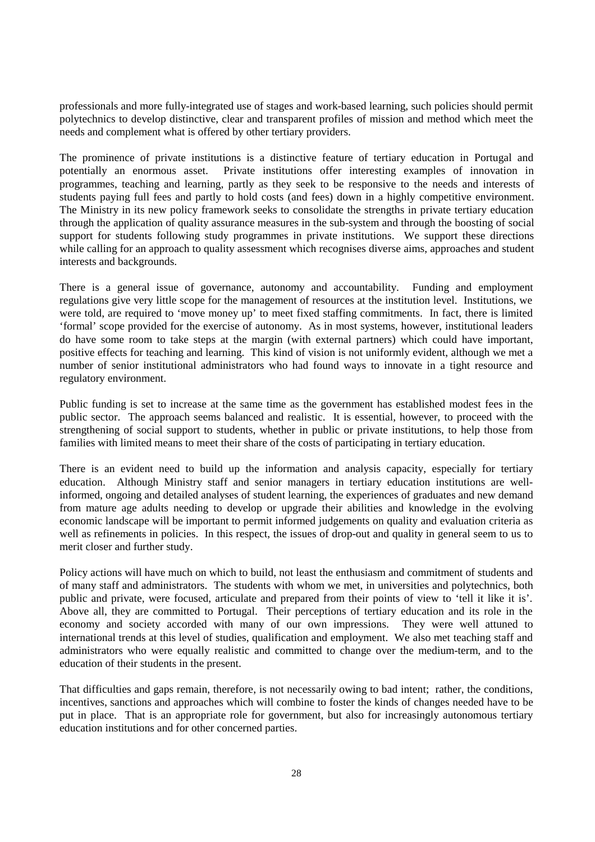professionals and more fully-integrated use of stages and work-based learning, such policies should permit polytechnics to develop distinctive, clear and transparent profiles of mission and method which meet the needs and complement what is offered by other tertiary providers.

The prominence of private institutions is a distinctive feature of tertiary education in Portugal and potentially an enormous asset. Private institutions offer interesting examples of innovation in programmes, teaching and learning, partly as they seek to be responsive to the needs and interests of students paying full fees and partly to hold costs (and fees) down in a highly competitive environment. The Ministry in its new policy framework seeks to consolidate the strengths in private tertiary education through the application of quality assurance measures in the sub-system and through the boosting of social support for students following study programmes in private institutions. We support these directions while calling for an approach to quality assessment which recognises diverse aims, approaches and student interests and backgrounds.

There is a general issue of governance, autonomy and accountability. Funding and employment regulations give very little scope for the management of resources at the institution level. Institutions, we were told, are required to 'move money up' to meet fixed staffing commitments. In fact, there is limited 'formal' scope provided for the exercise of autonomy. As in most systems, however, institutional leaders do have some room to take steps at the margin (with external partners) which could have important, positive effects for teaching and learning. This kind of vision is not uniformly evident, although we met a number of senior institutional administrators who had found ways to innovate in a tight resource and regulatory environment.

Public funding is set to increase at the same time as the government has established modest fees in the public sector. The approach seems balanced and realistic. It is essential, however, to proceed with the strengthening of social support to students, whether in public or private institutions, to help those from families with limited means to meet their share of the costs of participating in tertiary education.

There is an evident need to build up the information and analysis capacity, especially for tertiary education. Although Ministry staff and senior managers in tertiary education institutions are wellinformed, ongoing and detailed analyses of student learning, the experiences of graduates and new demand from mature age adults needing to develop or upgrade their abilities and knowledge in the evolving economic landscape will be important to permit informed judgements on quality and evaluation criteria as well as refinements in policies. In this respect, the issues of drop-out and quality in general seem to us to merit closer and further study.

Policy actions will have much on which to build, not least the enthusiasm and commitment of students and of many staff and administrators. The students with whom we met, in universities and polytechnics, both public and private, were focused, articulate and prepared from their points of view to 'tell it like it is'. Above all, they are committed to Portugal. Their perceptions of tertiary education and its role in the economy and society accorded with many of our own impressions. They were well attuned to international trends at this level of studies, qualification and employment. We also met teaching staff and administrators who were equally realistic and committed to change over the medium-term, and to the education of their students in the present.

That difficulties and gaps remain, therefore, is not necessarily owing to bad intent; rather, the conditions, incentives, sanctions and approaches which will combine to foster the kinds of changes needed have to be put in place. That is an appropriate role for government, but also for increasingly autonomous tertiary education institutions and for other concerned parties.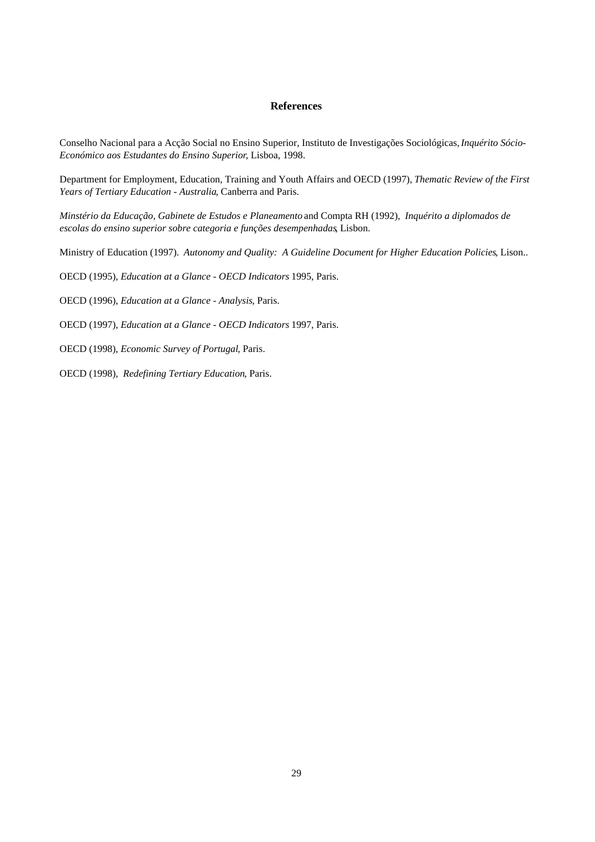#### **References**

Conselho Nacional para a Acção Social no Ensino Superior, Instituto de Investigações Sociológicas, *Inquérito Sócio-Económico aos Estudantes do Ensino Superior*, Lisboa, 1998.

Department for Employment, Education, Training and Youth Affairs and OECD (1997), *Thematic Review of the First Years of Tertiary Education - Australia*, Canberra and Paris.

*Minstério da Educação, Gabinete de Estudos e Planeamento* and Compta RH (1992), *Inquérito a diplomados de escolas do ensino superior sobre categoria e funções desempenhadas*, Lisbon.

Ministry of Education (1997). *Autonomy and Quality: A Guideline Document for Higher Education Policies*, Lison..

OECD (1995), *Education at a Glance - OECD Indicators* 1995, Paris.

OECD (1996), *Education at a Glance - Analysis*, Paris.

OECD (1997), *Education at a Glance - OECD Indicators* 1997, Paris.

OECD (1998), *Economic Survey of Portugal*, Paris.

OECD (1998), *Redefining Tertiary Education*, Paris.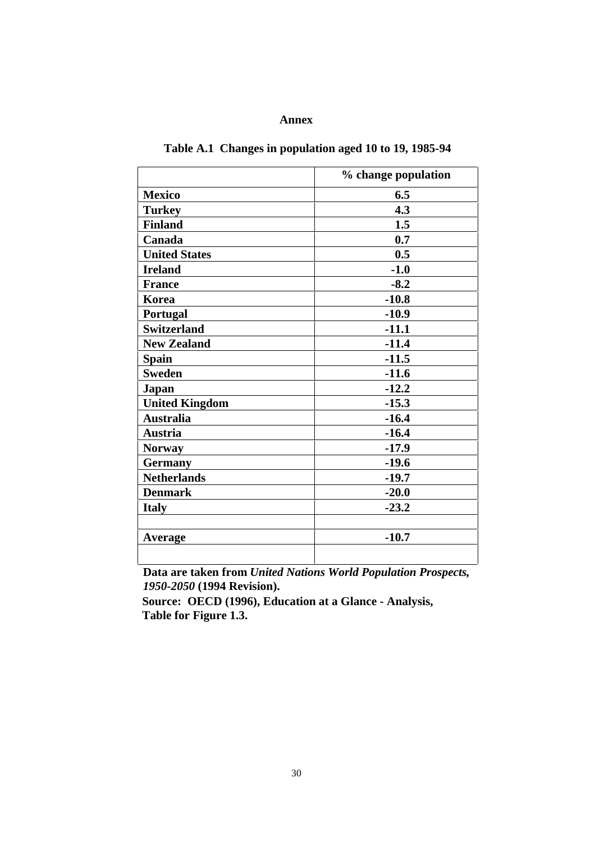## **Annex**

|                       | % change population |
|-----------------------|---------------------|
| <b>Mexico</b>         | 6.5                 |
| <b>Turkey</b>         | 4.3                 |
| <b>Finland</b>        | 1.5                 |
| Canada                | 0.7                 |
| <b>United States</b>  | 0.5                 |
| <b>Ireland</b>        | $-1.0$              |
| <b>France</b>         | $-8.2$              |
| Korea                 | $-10.8$             |
| Portugal              | $-10.9$             |
| <b>Switzerland</b>    | $-11.1$             |
| <b>New Zealand</b>    | $-11.4$             |
| <b>Spain</b>          | $-11.5$             |
| <b>Sweden</b>         | $-11.6$             |
| Japan                 | $-12.2$             |
| <b>United Kingdom</b> | $-15.3$             |
| <b>Australia</b>      | $-16.4$             |
| <b>Austria</b>        | $-16.4$             |
| <b>Norway</b>         | $-17.9$             |
| <b>Germany</b>        | $-19.6$             |
| <b>Netherlands</b>    | $-19.7$             |
| <b>Denmark</b>        | $-20.0$             |
| <b>Italy</b>          | $-23.2$             |
|                       |                     |
| Average               | $-10.7$             |
|                       |                     |
|                       |                     |

# **Table A.1 Changes in population aged 10 to 19, 1985-94**

**Data are taken from** *United Nations World Population Prospects, 1950-2050* **(1994 Revision).**

 **Source: OECD (1996), Education at a Glance - Analysis, Table for Figure 1.3.**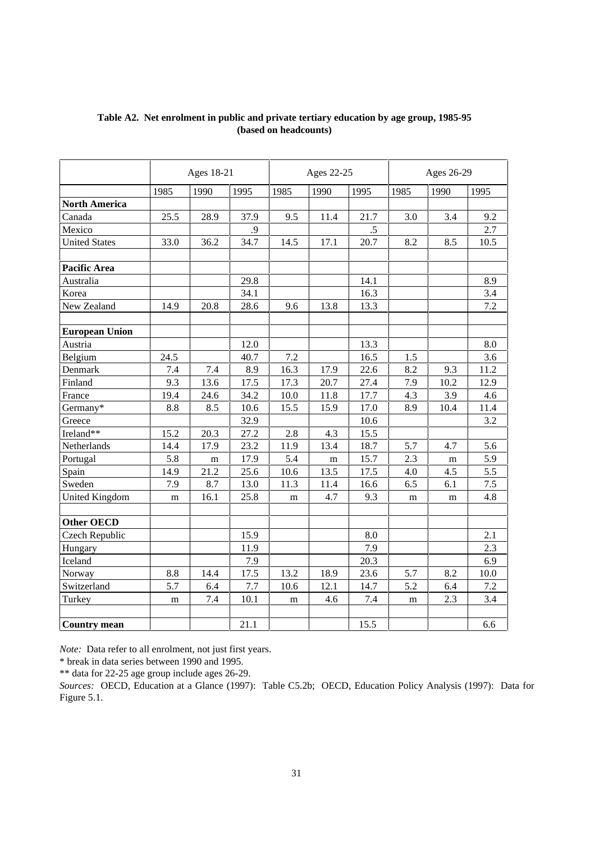|                       |      | Ages 18-21 |      |      | Ages 22-25 |      |      | Ages 26-29 |      |
|-----------------------|------|------------|------|------|------------|------|------|------------|------|
|                       | 1985 | 1990       | 1995 | 1985 | 1990       | 1995 | 1985 | 1990       | 1995 |
| <b>North America</b>  |      |            |      |      |            |      |      |            |      |
| Canada                | 25.5 | 28.9       | 37.9 | 9.5  | 11.4       | 21.7 | 3.0  | 3.4        | 9.2  |
| Mexico                |      |            | .9   |      |            | .5   |      |            | 2.7  |
| <b>United States</b>  | 33.0 | 36.2       | 34.7 | 14.5 | 17.1       | 20.7 | 8.2  | 8.5        | 10.5 |
| <b>Pacific Area</b>   |      |            |      |      |            |      |      |            |      |
| Australia             |      |            | 29.8 |      |            | 14.1 |      |            | 8.9  |
| Korea                 |      |            | 34.1 |      |            | 16.3 |      |            | 3.4  |
| New Zealand           | 14.9 | 20.8       | 28.6 | 9.6  | 13.8       | 13.3 |      |            | 7.2  |
| <b>European Union</b> |      |            |      |      |            |      |      |            |      |
| Austria               |      |            | 12.0 |      |            | 13.3 |      |            | 8.0  |
| Belgium               | 24.5 |            | 40.7 | 7.2  |            | 16.5 | 1.5  |            | 3.6  |
| Denmark               | 7.4  | 7.4        | 8.9  | 16.3 | 17.9       | 22.6 | 8.2  | 9.3        | 11.2 |
| Finland               | 9.3  | 13.6       | 17.5 | 17.3 | 20.7       | 27.4 | 7.9  | 10.2       | 12.9 |
| France                | 19.4 | 24.6       | 34.2 | 10.0 | 11.8       | 17.7 | 4.3  | 3.9        | 4.6  |
| Germany*              | 8.8  | 8.5        | 10.6 | 15.5 | 15.9       | 17.0 | 8.9  | 10.4       | 11.4 |
| Greece                |      |            | 32.9 |      |            | 10.6 |      |            | 3.2  |
| Ireland**             | 15.2 | 20.3       | 27.2 | 2.8  | 4.3        | 15.5 |      |            |      |
| Netherlands           | 14.4 | 17.9       | 23.2 | 11.9 | 13.4       | 18.7 | 5.7  | 4.7        | 5.6  |
| Portugal              | 5.8  | m          | 17.9 | 5.4  | m          | 15.7 | 2.3  | m          | 5.9  |
| Spain                 | 14.9 | 21.2       | 25.6 | 10.6 | 13.5       | 17.5 | 4.0  | 4.5        | 5.5  |
| Sweden                | 7.9  | 8.7        | 13.0 | 11.3 | 11.4       | 16.6 | 6.5  | 6.1        | 7.5  |
| <b>United Kingdom</b> | m    | 16.1       | 25.8 | m    | 4.7        | 9.3  | m    | m          | 4.8  |
| <b>Other OECD</b>     |      |            |      |      |            |      |      |            |      |
| Czech Republic        |      |            | 15.9 |      |            | 8.0  |      |            | 2.1  |
| Hungary               |      |            | 11.9 |      |            | 7.9  |      |            | 2.3  |
| Iceland               |      |            | 7.9  |      |            | 20.3 |      |            | 6.9  |
| Norway                | 8.8  | 14.4       | 17.5 | 13.2 | 18.9       | 23.6 | 5.7  | 8.2        | 10.0 |
| Switzerland           | 5.7  | 6.4        | 7.7  | 10.6 | 12.1       | 14.7 | 5.2  | 6.4        | 7.2  |
| Turkey                | m    | 7.4        | 10.1 | m    | 4.6        | 7.4  | m    | 2.3        | 3.4  |
| <b>Country mean</b>   |      |            | 21.1 |      |            | 15.5 |      |            | 6.6  |

## **Table A2. Net enrolment in public and private tertiary education by age group, 1985-95 (based on headcounts)**

*Note:* Data refer to all enrolment, not just first years.

\* break in data series between 1990 and 1995.

\*\* data for 22-25 age group include ages 26-29.

*Sources:* OECD, Education at a Glance (1997): Table C5.2b; OECD, Education Policy Analysis (1997): Data for Figure 5.1.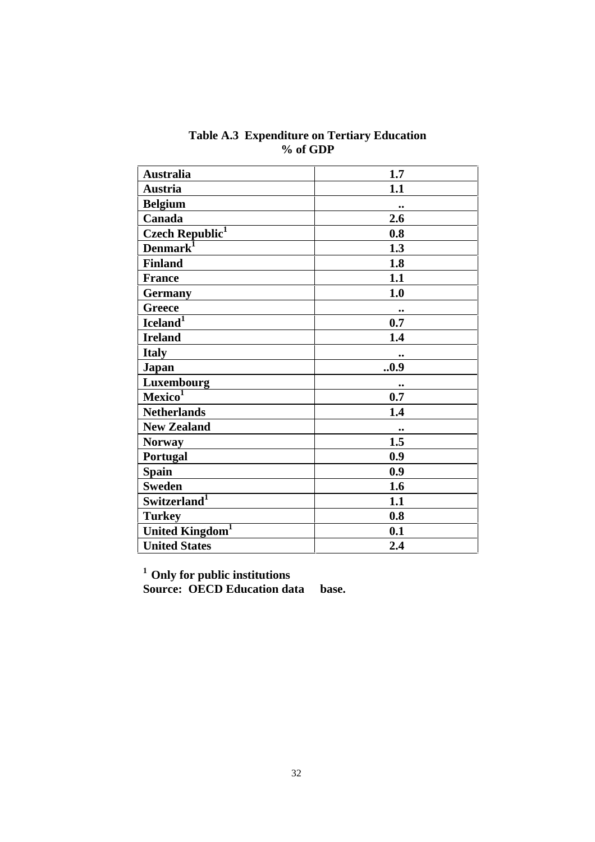| <b>Australia</b>            | 1.7              |
|-----------------------------|------------------|
| <b>Austria</b>              | 1.1              |
| <b>Belgium</b>              |                  |
| Canada                      | 2.6              |
| Czech Republic <sup>1</sup> | 0.8              |
| Denmark <sup>1</sup>        | 1.3              |
| <b>Finland</b>              | 1.8              |
| <b>France</b>               | 1.1              |
| <b>Germany</b>              | 1.0              |
| <b>Greece</b>               |                  |
| Iceland <sup>1</sup>        | 0.7              |
| <b>Ireland</b>              | 1.4              |
| <b>Italy</b>                |                  |
| <b>Japan</b>                | 0.9              |
| Luxembourg                  | $\bullet\bullet$ |
| Mexico <sup>1</sup>         | 0.7              |
| <b>Netherlands</b>          | 1.4              |
| <b>New Zealand</b>          |                  |
| <b>Norway</b>               | 1.5              |
| Portugal                    | 0.9              |
| <b>Spain</b>                | 0.9              |
| <b>Sweden</b>               | 1.6              |
| Switzerland <sup>1</sup>    | 1.1              |
| <b>Turkey</b>               | 0.8              |
| United Kingdom <sup>1</sup> | 0.1              |
| <b>United States</b>        | 2.4              |

**Table A.3 Expenditure on Tertiary Education % of GDP**

**1 Only for public institutions**

**Source: OECD Education data base.**